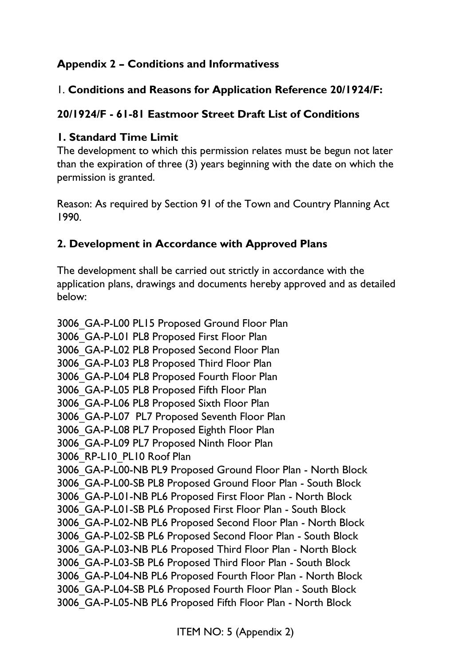## **Appendix 2 – Conditions and Informativess**

#### 1. **Conditions and Reasons for Application Reference 20/1924/F:**

#### **20/1924/F - 61-81 Eastmoor Street Draft List of Conditions**

#### **1. Standard Time Limit**

The development to which this permission relates must be begun not later than the expiration of three (3) years beginning with the date on which the permission is granted.

Reason: As required by Section 91 of the Town and Country Planning Act 1990.

#### **2. Development in Accordance with Approved Plans**

The development shall be carried out strictly in accordance with the application plans, drawings and documents hereby approved and as detailed below:

3006\_GA-P-L00 PL15 Proposed Ground Floor Plan 3006\_GA-P-L01 PL8 Proposed First Floor Plan 3006\_GA-P-L02 PL8 Proposed Second Floor Plan 3006\_GA-P-L03 PL8 Proposed Third Floor Plan 3006\_GA-P-L04 PL8 Proposed Fourth Floor Plan 3006\_GA-P-L05 PL8 Proposed Fifth Floor Plan 3006\_GA-P-L06 PL8 Proposed Sixth Floor Plan 3006\_GA-P-L07 PL7 Proposed Seventh Floor Plan 3006\_GA-P-L08 PL7 Proposed Eighth Floor Plan 3006\_GA-P-L09 PL7 Proposed Ninth Floor Plan 3006 RP-L10 PL10 Roof Plan 3006\_GA-P-L00-NB PL9 Proposed Ground Floor Plan - North Block 3006\_GA-P-L00-SB PL8 Proposed Ground Floor Plan - South Block 3006\_GA-P-L01-NB PL6 Proposed First Floor Plan - North Block 3006\_GA-P-L01-SB PL6 Proposed First Floor Plan - South Block 3006\_GA-P-L02-NB PL6 Proposed Second Floor Plan - North Block 3006\_GA-P-L02-SB PL6 Proposed Second Floor Plan - South Block 3006\_GA-P-L03-NB PL6 Proposed Third Floor Plan - North Block 3006\_GA-P-L03-SB PL6 Proposed Third Floor Plan - South Block 3006\_GA-P-L04-NB PL6 Proposed Fourth Floor Plan - North Block 3006\_GA-P-L04-SB PL6 Proposed Fourth Floor Plan - South Block 3006\_GA-P-L05-NB PL6 Proposed Fifth Floor Plan - North Block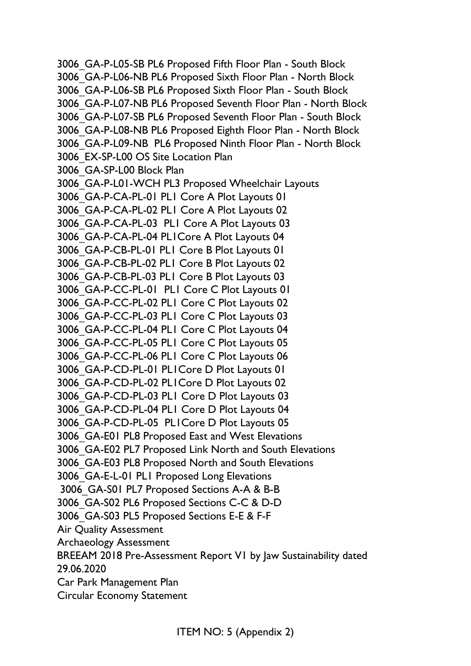3006\_GA-P-L05-SB PL6 Proposed Fifth Floor Plan - South Block 3006\_GA-P-L06-NB PL6 Proposed Sixth Floor Plan - North Block 3006\_GA-P-L06-SB PL6 Proposed Sixth Floor Plan - South Block 3006\_GA-P-L07-NB PL6 Proposed Seventh Floor Plan - North Block 3006\_GA-P-L07-SB PL6 Proposed Seventh Floor Plan - South Block 3006\_GA-P-L08-NB PL6 Proposed Eighth Floor Plan - North Block 3006\_GA-P-L09-NB PL6 Proposed Ninth Floor Plan - North Block 3006\_EX-SP-L00 OS Site Location Plan 3006\_GA-SP-L00 Block Plan 3006\_GA-P-L01-WCH PL3 Proposed Wheelchair Layouts 3006\_GA-P-CA-PL-01 PL1 Core A Plot Layouts 01 3006\_GA-P-CA-PL-02 PL1 Core A Plot Layouts 02 3006\_GA-P-CA-PL-03 PL1 Core A Plot Layouts 03 3006\_GA-P-CA-PL-04 PL1Core A Plot Layouts 04 3006\_GA-P-CB-PL-01 PL1 Core B Plot Layouts 01 3006\_GA-P-CB-PL-02 PL1 Core B Plot Layouts 02 3006\_GA-P-CB-PL-03 PL1 Core B Plot Layouts 03 3006\_GA-P-CC-PL-01 PL1 Core C Plot Layouts 01 3006\_GA-P-CC-PL-02 PL1 Core C Plot Layouts 02 3006\_GA-P-CC-PL-03 PL1 Core C Plot Layouts 03 3006\_GA-P-CC-PL-04 PL1 Core C Plot Layouts 04 3006\_GA-P-CC-PL-05 PL1 Core C Plot Layouts 05 3006\_GA-P-CC-PL-06 PL1 Core C Plot Layouts 06 3006\_GA-P-CD-PL-01 PL1Core D Plot Layouts 01 3006\_GA-P-CD-PL-02 PL1Core D Plot Layouts 02 3006\_GA-P-CD-PL-03 PL1 Core D Plot Layouts 03 3006\_GA-P-CD-PL-04 PL1 Core D Plot Layouts 04 3006\_GA-P-CD-PL-05 PL1Core D Plot Layouts 05 3006\_GA-E01 PL8 Proposed East and West Elevations 3006\_GA-E02 PL7 Proposed Link North and South Elevations 3006\_GA-E03 PL8 Proposed North and South Elevations 3006\_GA-E-L-01 PL1 Proposed Long Elevations 3006\_GA-S01 PL7 Proposed Sections A-A & B-B 3006\_GA-S02 PL6 Proposed Sections C-C & D-D 3006\_GA-S03 PL5 Proposed Sections E-E & F-F Air Quality Assessment Archaeology Assessment BREEAM 2018 Pre-Assessment Report V1 by Jaw Sustainability dated 29.06.2020 Car Park Management Plan Circular Economy Statement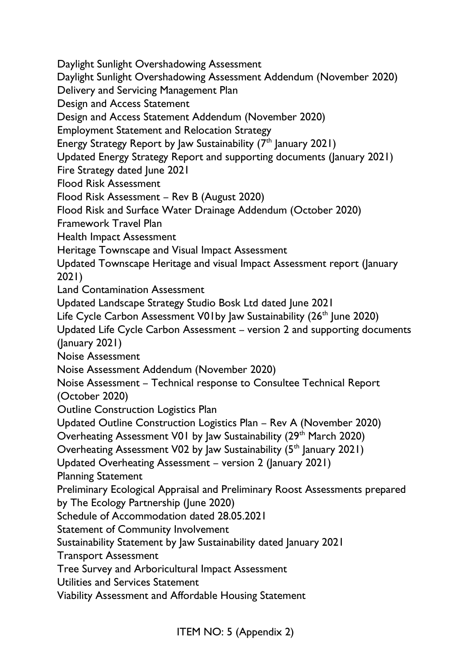Daylight Sunlight Overshadowing Assessment Daylight Sunlight Overshadowing Assessment Addendum (November 2020) Delivery and Servicing Management Plan Design and Access Statement Design and Access Statement Addendum (November 2020) Employment Statement and Relocation Strategy Energy Strategy Report by Jaw Sustainability  $(7<sup>th</sup>$  January 2021) Updated Energy Strategy Report and supporting documents (January 2021) Fire Strategy dated June 2021 Flood Risk Assessment Flood Risk Assessment – Rev B (August 2020) Flood Risk and Surface Water Drainage Addendum (October 2020) Framework Travel Plan Health Impact Assessment Heritage Townscape and Visual Impact Assessment Updated Townscape Heritage and visual Impact Assessment report (January 2021) Land Contamination Assessment Updated Landscape Strategy Studio Bosk Ltd dated June 2021 Life Cycle Carbon Assessment V01by Jaw Sustainability (26<sup>th</sup> June 2020) Updated Life Cycle Carbon Assessment – version 2 and supporting documents (January 2021) Noise Assessment Noise Assessment Addendum (November 2020) Noise Assessment – Technical response to Consultee Technical Report (October 2020) Outline Construction Logistics Plan Updated Outline Construction Logistics Plan – Rev A (November 2020) Overheating Assessment V01 by Jaw Sustainability (29<sup>th</sup> March 2020) Overheating Assessment V02 by Jaw Sustainability  $(5<sup>th</sup>$  January 2021) Updated Overheating Assessment – version 2 (January 2021) Planning Statement Preliminary Ecological Appraisal and Preliminary Roost Assessments prepared by The Ecology Partnership (June 2020) Schedule of Accommodation dated 28.05.2021 Statement of Community Involvement Sustainability Statement by Jaw Sustainability dated January 2021 Transport Assessment Tree Survey and Arboricultural Impact Assessment Utilities and Services Statement Viability Assessment and Affordable Housing Statement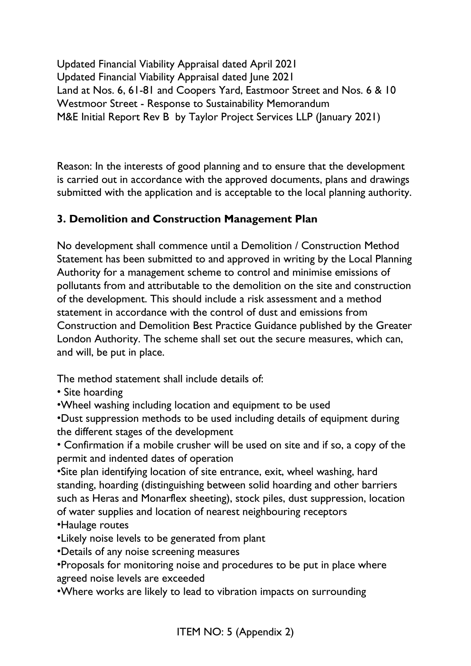Updated Financial Viability Appraisal dated April 2021 Updated Financial Viability Appraisal dated June 2021 Land at Nos. 6, 61-81 and Coopers Yard, Eastmoor Street and Nos. 6 & 10 Westmoor Street - Response to Sustainability Memorandum M&E Initial Report Rev B by Taylor Project Services LLP (January 2021)

Reason: In the interests of good planning and to ensure that the development is carried out in accordance with the approved documents, plans and drawings submitted with the application and is acceptable to the local planning authority.

### **3. Demolition and Construction Management Plan**

No development shall commence until a Demolition / Construction Method Statement has been submitted to and approved in writing by the Local Planning Authority for a management scheme to control and minimise emissions of pollutants from and attributable to the demolition on the site and construction of the development. This should include a risk assessment and a method statement in accordance with the control of dust and emissions from Construction and Demolition Best Practice Guidance published by the Greater London Authority. The scheme shall set out the secure measures, which can, and will, be put in place.

The method statement shall include details of:

- Site hoarding
- •Wheel washing including location and equipment to be used

•Dust suppression methods to be used including details of equipment during the different stages of the development

• Confirmation if a mobile crusher will be used on site and if so, a copy of the permit and indented dates of operation

•Site plan identifying location of site entrance, exit, wheel washing, hard standing, hoarding (distinguishing between solid hoarding and other barriers such as Heras and Monarflex sheeting), stock piles, dust suppression, location of water supplies and location of nearest neighbouring receptors •Haulage routes

•Likely noise levels to be generated from plant

•Details of any noise screening measures

•Proposals for monitoring noise and procedures to be put in place where agreed noise levels are exceeded

•Where works are likely to lead to vibration impacts on surrounding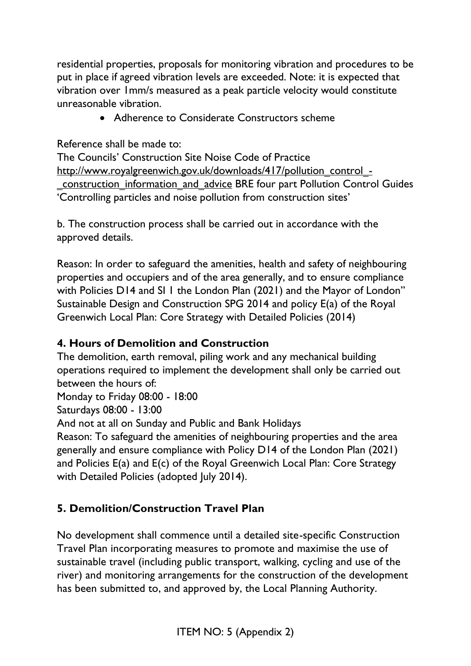residential properties, proposals for monitoring vibration and procedures to be put in place if agreed vibration levels are exceeded. Note: it is expected that vibration over 1mm/s measured as a peak particle velocity would constitute unreasonable vibration.

• Adherence to Considerate Constructors scheme

Reference shall be made to:

The Councils' Construction Site Noise Code of Practice [http://www.royalgreenwich.gov.uk/downloads/417/pollution\\_control\\_-](http://www.royalgreenwich.gov.uk/downloads/417/pollution_control_-_construction_information_and_advice) [\\_construction\\_information\\_and\\_advice](http://www.royalgreenwich.gov.uk/downloads/417/pollution_control_-_construction_information_and_advice) BRE four part Pollution Control Guides 'Controlling particles and noise pollution from construction sites'

b. The construction process shall be carried out in accordance with the approved details.

Reason: In order to safeguard the amenities, health and safety of neighbouring properties and occupiers and of the area generally, and to ensure compliance with Policies D14 and SI 1 the London Plan (2021) and the Mayor of London" Sustainable Design and Construction SPG 2014 and policy E(a) of the Royal Greenwich Local Plan: Core Strategy with Detailed Policies (2014)

### **4. Hours of Demolition and Construction**

The demolition, earth removal, piling work and any mechanical building operations required to implement the development shall only be carried out between the hours of: Monday to Friday 08:00 - 18:00 Saturdays 08:00 - 13:00 And not at all on Sunday and Public and Bank Holidays Reason: To safeguard the amenities of neighbouring properties and the area generally and ensure compliance with Policy D14 of the London Plan (2021) and Policies E(a) and E(c) of the Royal Greenwich Local Plan: Core Strategy with Detailed Policies (adopted July 2014).

### **5. Demolition/Construction Travel Plan**

No development shall commence until a detailed site-specific Construction Travel Plan incorporating measures to promote and maximise the use of sustainable travel (including public transport, walking, cycling and use of the river) and monitoring arrangements for the construction of the development has been submitted to, and approved by, the Local Planning Authority.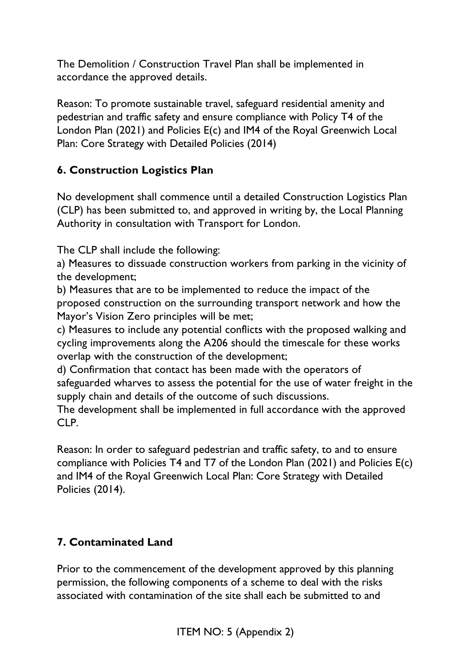The Demolition / Construction Travel Plan shall be implemented in accordance the approved details.

Reason: To promote sustainable travel, safeguard residential amenity and pedestrian and traffic safety and ensure compliance with Policy T4 of the London Plan (2021) and Policies E(c) and IM4 of the Royal Greenwich Local Plan: Core Strategy with Detailed Policies (2014)

# **6. Construction Logistics Plan**

No development shall commence until a detailed Construction Logistics Plan (CLP) has been submitted to, and approved in writing by, the Local Planning Authority in consultation with Transport for London.

The CLP shall include the following:

a) Measures to dissuade construction workers from parking in the vicinity of the development;

b) Measures that are to be implemented to reduce the impact of the proposed construction on the surrounding transport network and how the Mayor's Vision Zero principles will be met;

c) Measures to include any potential conflicts with the proposed walking and cycling improvements along the A206 should the timescale for these works overlap with the construction of the development;

d) Confirmation that contact has been made with the operators of safeguarded wharves to assess the potential for the use of water freight in the supply chain and details of the outcome of such discussions.

The development shall be implemented in full accordance with the approved CLP.

Reason: In order to safeguard pedestrian and traffic safety, to and to ensure compliance with Policies T4 and T7 of the London Plan (2021) and Policies E(c) and IM4 of the Royal Greenwich Local Plan: Core Strategy with Detailed Policies (2014).

# **7. Contaminated Land**

Prior to the commencement of the development approved by this planning permission, the following components of a scheme to deal with the risks associated with contamination of the site shall each be submitted to and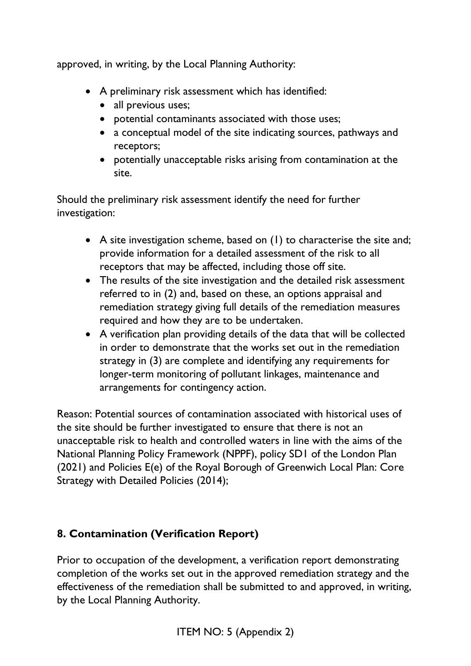approved, in writing, by the Local Planning Authority:

- A preliminary risk assessment which has identified:
	- all previous uses;
	- potential contaminants associated with those uses;
	- a conceptual model of the site indicating sources, pathways and receptors;
	- potentially unacceptable risks arising from contamination at the site.

Should the preliminary risk assessment identify the need for further investigation:

- A site investigation scheme, based on (1) to characterise the site and; provide information for a detailed assessment of the risk to all receptors that may be affected, including those off site.
- The results of the site investigation and the detailed risk assessment referred to in (2) and, based on these, an options appraisal and remediation strategy giving full details of the remediation measures required and how they are to be undertaken.
- A verification plan providing details of the data that will be collected in order to demonstrate that the works set out in the remediation strategy in (3) are complete and identifying any requirements for longer-term monitoring of pollutant linkages, maintenance and arrangements for contingency action.

Reason: Potential sources of contamination associated with historical uses of the site should be further investigated to ensure that there is not an unacceptable risk to health and controlled waters in line with the aims of the National Planning Policy Framework (NPPF), policy SD1 of the London Plan (2021) and Policies E(e) of the Royal Borough of Greenwich Local Plan: Core Strategy with Detailed Policies (2014);

# **8. Contamination (Verification Report)**

Prior to occupation of the development, a verification report demonstrating completion of the works set out in the approved remediation strategy and the effectiveness of the remediation shall be submitted to and approved, in writing, by the Local Planning Authority.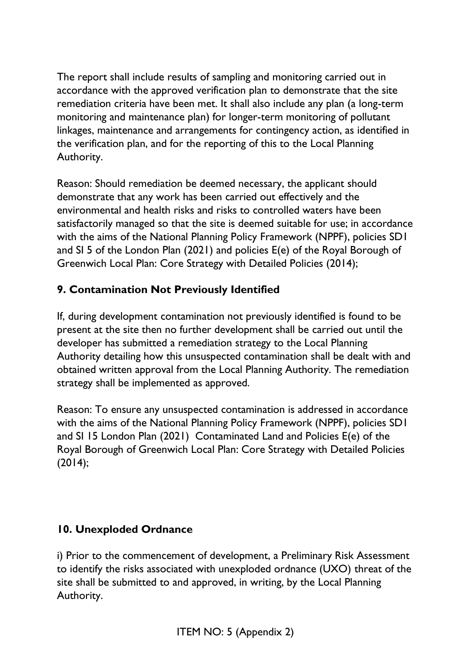The report shall include results of sampling and monitoring carried out in accordance with the approved verification plan to demonstrate that the site remediation criteria have been met. It shall also include any plan (a long-term monitoring and maintenance plan) for longer-term monitoring of pollutant linkages, maintenance and arrangements for contingency action, as identified in the verification plan, and for the reporting of this to the Local Planning Authority.

Reason: Should remediation be deemed necessary, the applicant should demonstrate that any work has been carried out effectively and the environmental and health risks and risks to controlled waters have been satisfactorily managed so that the site is deemed suitable for use; in accordance with the aims of the National Planning Policy Framework (NPPF), policies SD1 and SI 5 of the London Plan (2021) and policies E(e) of the Royal Borough of Greenwich Local Plan: Core Strategy with Detailed Policies (2014);

# **9. Contamination Not Previously Identified**

If, during development contamination not previously identified is found to be present at the site then no further development shall be carried out until the developer has submitted a remediation strategy to the Local Planning Authority detailing how this unsuspected contamination shall be dealt with and obtained written approval from the Local Planning Authority. The remediation strategy shall be implemented as approved.

Reason: To ensure any unsuspected contamination is addressed in accordance with the aims of the National Planning Policy Framework (NPPF), policies SD1 and SI 15 London Plan (2021) Contaminated Land and Policies E(e) of the Royal Borough of Greenwich Local Plan: Core Strategy with Detailed Policies (2014);

### **10. Unexploded Ordnance**

i) Prior to the commencement of development, a Preliminary Risk Assessment to identify the risks associated with unexploded ordnance (UXO) threat of the site shall be submitted to and approved, in writing, by the Local Planning Authority.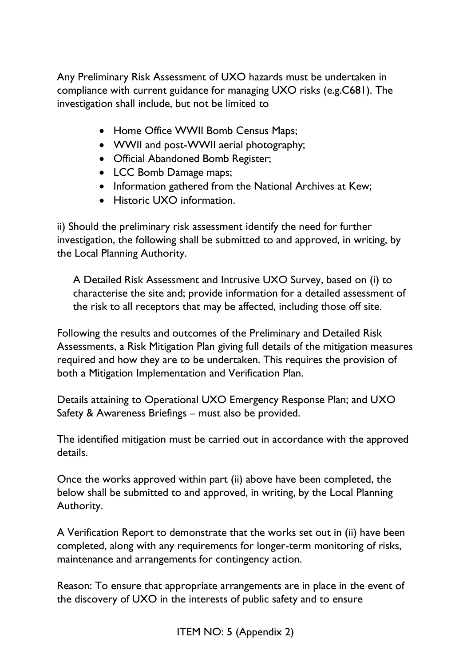Any Preliminary Risk Assessment of UXO hazards must be undertaken in compliance with current guidance for managing UXO risks (e.g.C681). The investigation shall include, but not be limited to

- Home Office WWII Bomb Census Maps;
- WWII and post-WWII aerial photography;
- Official Abandoned Bomb Register;
- LCC Bomb Damage maps;
- Information gathered from the National Archives at Kew:
- Historic UXO information.

ii) Should the preliminary risk assessment identify the need for further investigation, the following shall be submitted to and approved, in writing, by the Local Planning Authority.

A Detailed Risk Assessment and Intrusive UXO Survey, based on (i) to characterise the site and; provide information for a detailed assessment of the risk to all receptors that may be affected, including those off site.

Following the results and outcomes of the Preliminary and Detailed Risk Assessments, a Risk Mitigation Plan giving full details of the mitigation measures required and how they are to be undertaken. This requires the provision of both a Mitigation Implementation and Verification Plan.

Details attaining to Operational UXO Emergency Response Plan; and UXO Safety & Awareness Briefings – must also be provided.

The identified mitigation must be carried out in accordance with the approved details.

Once the works approved within part (ii) above have been completed, the below shall be submitted to and approved, in writing, by the Local Planning Authority.

A Verification Report to demonstrate that the works set out in (ii) have been completed, along with any requirements for longer-term monitoring of risks, maintenance and arrangements for contingency action.

Reason: To ensure that appropriate arrangements are in place in the event of the discovery of UXO in the interests of public safety and to ensure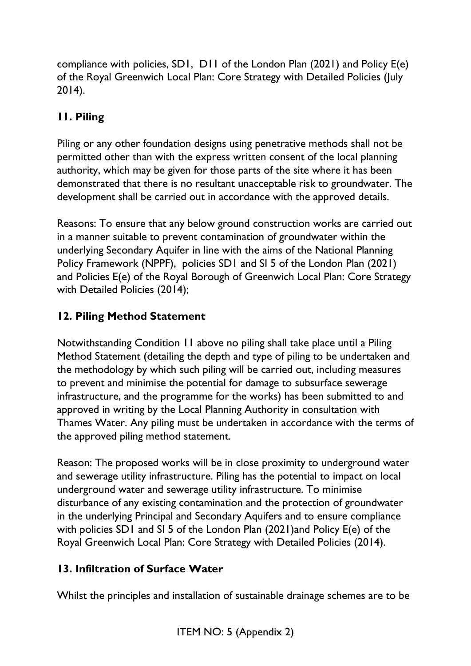compliance with policies, SD1, D11 of the London Plan (2021) and Policy E(e) of the Royal Greenwich Local Plan: Core Strategy with Detailed Policies (July 2014).

# **11. Piling**

Piling or any other foundation designs using penetrative methods shall not be permitted other than with the express written consent of the local planning authority, which may be given for those parts of the site where it has been demonstrated that there is no resultant unacceptable risk to groundwater. The development shall be carried out in accordance with the approved details.

Reasons: To ensure that any below ground construction works are carried out in a manner suitable to prevent contamination of groundwater within the underlying Secondary Aquifer in line with the aims of the National Planning Policy Framework (NPPF), policies SD1 and SI 5 of the London Plan (2021) and Policies E(e) of the Royal Borough of Greenwich Local Plan: Core Strategy with Detailed Policies (2014);

# **12. Piling Method Statement**

Notwithstanding Condition 11 above no piling shall take place until a Piling Method Statement (detailing the depth and type of piling to be undertaken and the methodology by which such piling will be carried out, including measures to prevent and minimise the potential for damage to subsurface sewerage infrastructure, and the programme for the works) has been submitted to and approved in writing by the Local Planning Authority in consultation with Thames Water. Any piling must be undertaken in accordance with the terms of the approved piling method statement.

Reason: The proposed works will be in close proximity to underground water and sewerage utility infrastructure. Piling has the potential to impact on local underground water and sewerage utility infrastructure. To minimise disturbance of any existing contamination and the protection of groundwater in the underlying Principal and Secondary Aquifers and to ensure compliance with policies SD1 and SI 5 of the London Plan (2021)and Policy E(e) of the Royal Greenwich Local Plan: Core Strategy with Detailed Policies (2014).

# **13. Infiltration of Surface Water**

Whilst the principles and installation of sustainable drainage schemes are to be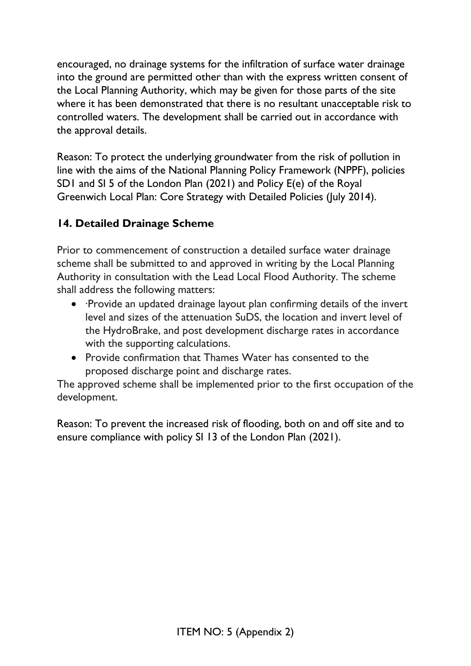encouraged, no drainage systems for the infiltration of surface water drainage into the ground are permitted other than with the express written consent of the Local Planning Authority, which may be given for those parts of the site where it has been demonstrated that there is no resultant unacceptable risk to controlled waters. The development shall be carried out in accordance with the approval details.

Reason: To protect the underlying groundwater from the risk of pollution in line with the aims of the National Planning Policy Framework (NPPF), policies SD1 and SI 5 of the London Plan (2021) and Policy E(e) of the Royal Greenwich Local Plan: Core Strategy with Detailed Policies (July 2014).

# **14. Detailed Drainage Scheme**

Prior to commencement of construction a detailed surface water drainage scheme shall be submitted to and approved in writing by the Local Planning Authority in consultation with the Lead Local Flood Authority. The scheme shall address the following matters:

- ·Provide an updated drainage layout plan confirming details of the invert level and sizes of the attenuation SuDS, the location and invert level of the HydroBrake, and post development discharge rates in accordance with the supporting calculations.
- Provide confirmation that Thames Water has consented to the proposed discharge point and discharge rates.

The approved scheme shall be implemented prior to the first occupation of the development.

Reason: To prevent the increased risk of flooding, both on and off site and to ensure compliance with policy SI 13 of the London Plan (2021).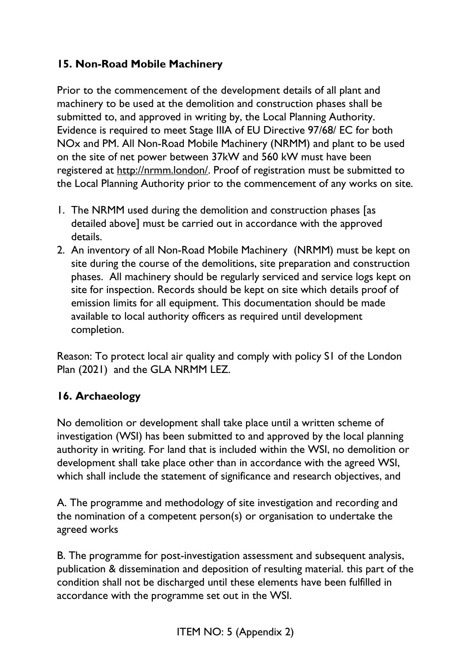# **15. Non-Road Mobile Machinery**

Prior to the commencement of the development details of all plant and machinery to be used at the demolition and construction phases shall be submitted to, and approved in writing by, the Local Planning Authority. Evidence is required to meet Stage IIIA of EU Directive 97/68/ EC for both NOx and PM. All Non-Road Mobile Machinery (NRMM) and plant to be used on the site of net power between 37kW and 560 kW must have been registered at [http://nrmm.london/.](http://nrmm.london/) Proof of registration must be submitted to the Local Planning Authority prior to the commencement of any works on site.

- 1. The NRMM used during the demolition and construction phases [as detailed above] must be carried out in accordance with the approved details.
- 2. An inventory of all Non-Road Mobile Machinery (NRMM) must be kept on site during the course of the demolitions, site preparation and construction phases. All machinery should be regularly serviced and service logs kept on site for inspection. Records should be kept on site which details proof of emission limits for all equipment. This documentation should be made available to local authority officers as required until development completion.

Reason: To protect local air quality and comply with policy S1 of the London Plan (2021) and the GLA NRMM LEZ.

### **16. Archaeology**

No demolition or development shall take place until a written scheme of investigation (WSI) has been submitted to and approved by the local planning authority in writing. For land that is included within the WSI, no demolition or development shall take place other than in accordance with the agreed WSI, which shall include the statement of significance and research objectives, and

A. The programme and methodology of site investigation and recording and the nomination of a competent person(s) or organisation to undertake the agreed works

B. The programme for post-investigation assessment and subsequent analysis, publication & dissemination and deposition of resulting material. this part of the condition shall not be discharged until these elements have been fulfilled in accordance with the programme set out in the WSI.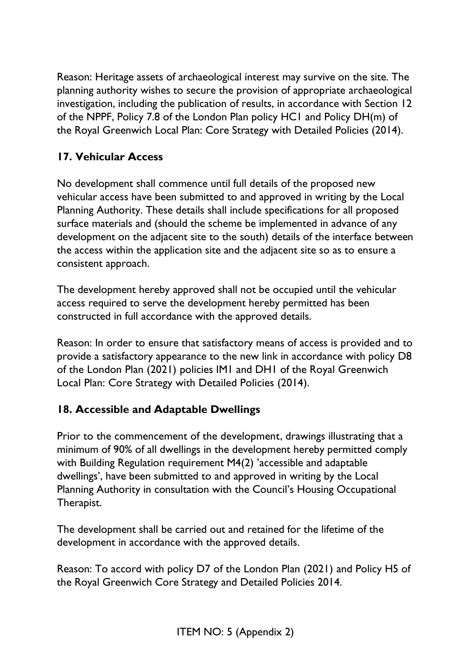Reason: Heritage assets of archaeological interest may survive on the site. The planning authority wishes to secure the provision of appropriate archaeological investigation, including the publication of results, in accordance with Section 12 of the NPPF, Policy 7.8 of the London Plan policy HC1 and Policy DH(m) of the Royal Greenwich Local Plan: Core Strategy with Detailed Policies (2014).

# **17. Vehicular Access**

No development shall commence until full details of the proposed new vehicular access have been submitted to and approved in writing by the Local Planning Authority. These details shall include specifications for all proposed surface materials and (should the scheme be implemented in advance of any development on the adjacent site to the south) details of the interface between the access within the application site and the adjacent site so as to ensure a consistent approach.

The development hereby approved shall not be occupied until the vehicular access required to serve the development hereby permitted has been constructed in full accordance with the approved details.

Reason: In order to ensure that satisfactory means of access is provided and to provide a satisfactory appearance to the new link in accordance with policy D8 of the London Plan (2021) policies IM1 and DH1 of the Royal Greenwich Local Plan: Core Strategy with Detailed Policies (2014).

### **18. Accessible and Adaptable Dwellings**

Prior to the commencement of the development, drawings illustrating that a minimum of 90% of all dwellings in the development hereby permitted comply with Building Regulation requirement M4(2) 'accessible and adaptable dwellings', have been submitted to and approved in writing by the Local Planning Authority in consultation with the Council's Housing Occupational Therapist.

The development shall be carried out and retained for the lifetime of the development in accordance with the approved details.

Reason: To accord with policy D7 of the London Plan (2021) and Policy H5 of the Royal Greenwich Core Strategy and Detailed Policies 2014.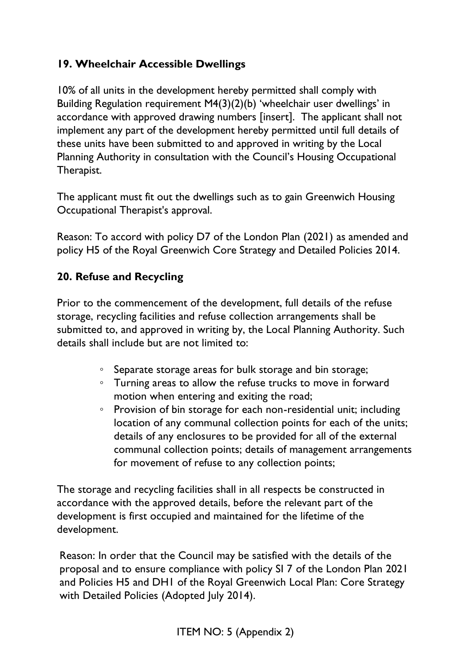# **19. Wheelchair Accessible Dwellings**

10% of all units in the development hereby permitted shall comply with Building Regulation requirement M4(3)(2)(b) 'wheelchair user dwellings' in accordance with approved drawing numbers [insert]. The applicant shall not implement any part of the development hereby permitted until full details of these units have been submitted to and approved in writing by the Local Planning Authority in consultation with the Council's Housing Occupational Therapist.

The applicant must fit out the dwellings such as to gain Greenwich Housing Occupational Therapist's approval.

Reason: To accord with policy D7 of the London Plan (2021) as amended and policy H5 of the Royal Greenwich Core Strategy and Detailed Policies 2014.

### **20. Refuse and Recycling**

Prior to the commencement of the development, full details of the refuse storage, recycling facilities and refuse collection arrangements shall be submitted to, and approved in writing by, the Local Planning Authority. Such details shall include but are not limited to:

- Separate storage areas for bulk storage and bin storage;
- Turning areas to allow the refuse trucks to move in forward motion when entering and exiting the road;
- Provision of bin storage for each non-residential unit; including location of any communal collection points for each of the units; details of any enclosures to be provided for all of the external communal collection points; details of management arrangements for movement of refuse to any collection points;

The storage and recycling facilities shall in all respects be constructed in accordance with the approved details, before the relevant part of the development is first occupied and maintained for the lifetime of the development.

Reason: In order that the Council may be satisfied with the details of the proposal and to ensure compliance with policy SI 7 of the London Plan 2021 and Policies H5 and DH1 of the Royal Greenwich Local Plan: Core Strategy with Detailed Policies (Adopted July 2014).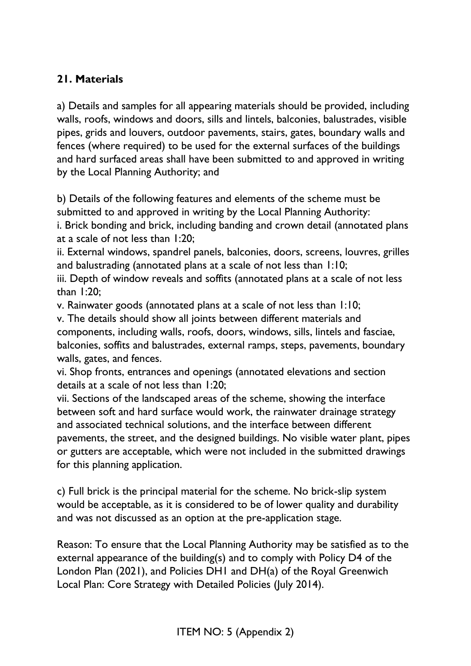## **21. Materials**

a) Details and samples for all appearing materials should be provided, including walls, roofs, windows and doors, sills and lintels, balconies, balustrades, visible pipes, grids and louvers, outdoor pavements, stairs, gates, boundary walls and fences (where required) to be used for the external surfaces of the buildings and hard surfaced areas shall have been submitted to and approved in writing by the Local Planning Authority; and

b) Details of the following features and elements of the scheme must be submitted to and approved in writing by the Local Planning Authority:

i. Brick bonding and brick, including banding and crown detail (annotated plans at a scale of not less than 1:20;

ii. External windows, spandrel panels, balconies, doors, screens, louvres, grilles and balustrading (annotated plans at a scale of not less than 1:10;

iii. Depth of window reveals and soffits (annotated plans at a scale of not less than 1:20;

v. Rainwater goods (annotated plans at a scale of not less than 1:10;

v. The details should show all joints between different materials and components, including walls, roofs, doors, windows, sills, lintels and fasciae, balconies, soffits and balustrades, external ramps, steps, pavements, boundary walls, gates, and fences.

vi. Shop fronts, entrances and openings (annotated elevations and section details at a scale of not less than 1:20;

vii. Sections of the landscaped areas of the scheme, showing the interface between soft and hard surface would work, the rainwater drainage strategy and associated technical solutions, and the interface between different pavements, the street, and the designed buildings. No visible water plant, pipes or gutters are acceptable, which were not included in the submitted drawings for this planning application.

c) Full brick is the principal material for the scheme. No brick-slip system would be acceptable, as it is considered to be of lower quality and durability and was not discussed as an option at the pre-application stage.

Reason: To ensure that the Local Planning Authority may be satisfied as to the external appearance of the building(s) and to comply with Policy D4 of the London Plan (2021), and Policies DH1 and DH(a) of the Royal Greenwich Local Plan: Core Strategy with Detailed Policies (July 2014).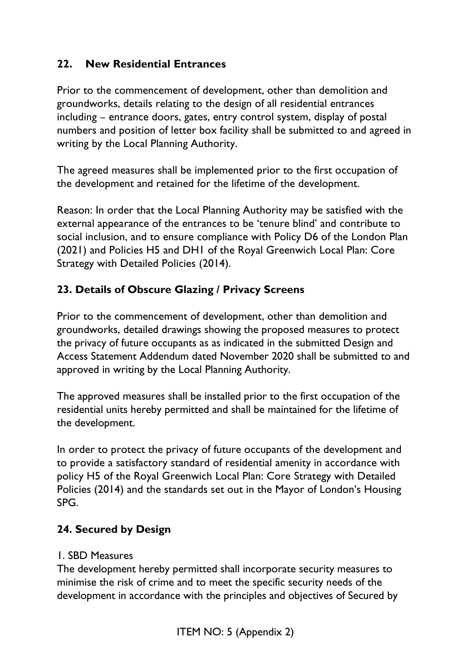#### **22. New Residential Entrances**

Prior to the commencement of development, other than demolition and groundworks, details relating to the design of all residential entrances including – entrance doors, gates, entry control system, display of postal numbers and position of letter box facility shall be submitted to and agreed in writing by the Local Planning Authority.

The agreed measures shall be implemented prior to the first occupation of the development and retained for the lifetime of the development.

Reason: In order that the Local Planning Authority may be satisfied with the external appearance of the entrances to be 'tenure blind' and contribute to social inclusion, and to ensure compliance with Policy D6 of the London Plan (2021) and Policies H5 and DH1 of the Royal Greenwich Local Plan: Core Strategy with Detailed Policies (2014).

### **23. Details of Obscure Glazing / Privacy Screens**

Prior to the commencement of development, other than demolition and groundworks, detailed drawings showing the proposed measures to protect the privacy of future occupants as as indicated in the submitted Design and Access Statement Addendum dated November 2020 shall be submitted to and approved in writing by the Local Planning Authority.

The approved measures shall be installed prior to the first occupation of the residential units hereby permitted and shall be maintained for the lifetime of the development.

In order to protect the privacy of future occupants of the development and to provide a satisfactory standard of residential amenity in accordance with policy H5 of the Royal Greenwich Local Plan: Core Strategy with Detailed Policies (2014) and the standards set out in the Mayor of London's Housing SPG.

### **24. Secured by Design**

#### 1. SBD Measures

The development hereby permitted shall incorporate security measures to minimise the risk of crime and to meet the specific security needs of the development in accordance with the principles and objectives of Secured by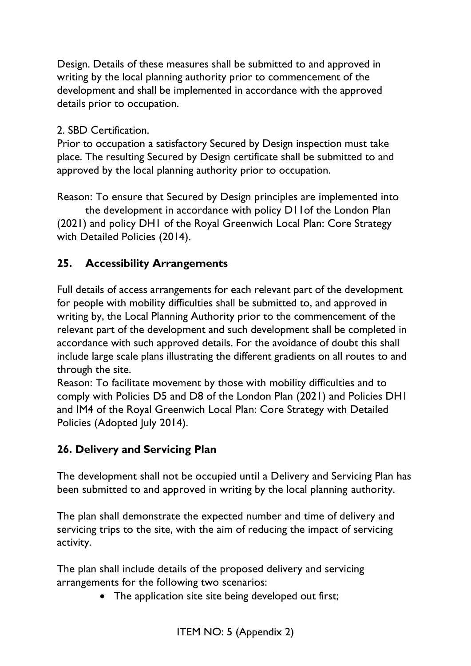Design. Details of these measures shall be submitted to and approved in writing by the local planning authority prior to commencement of the development and shall be implemented in accordance with the approved details prior to occupation.

#### 2. SBD Certification.

Prior to occupation a satisfactory Secured by Design inspection must take place. The resulting Secured by Design certificate shall be submitted to and approved by the local planning authority prior to occupation.

Reason: To ensure that Secured by Design principles are implemented into

the development in accordance with policy D11of the London Plan (2021) and policy DH1 of the Royal Greenwich Local Plan: Core Strategy with Detailed Policies (2014).

#### **25. Accessibility Arrangements**

Full details of access arrangements for each relevant part of the development for people with mobility difficulties shall be submitted to, and approved in writing by, the Local Planning Authority prior to the commencement of the relevant part of the development and such development shall be completed in accordance with such approved details. For the avoidance of doubt this shall include large scale plans illustrating the different gradients on all routes to and through the site.

Reason: To facilitate movement by those with mobility difficulties and to comply with Policies D5 and D8 of the London Plan (2021) and Policies DH1 and IM4 of the Royal Greenwich Local Plan: Core Strategy with Detailed Policies (Adopted July 2014).

### **26. Delivery and Servicing Plan**

The development shall not be occupied until a Delivery and Servicing Plan has been submitted to and approved in writing by the local planning authority.

The plan shall demonstrate the expected number and time of delivery and servicing trips to the site, with the aim of reducing the impact of servicing activity.

The plan shall include details of the proposed delivery and servicing arrangements for the following two scenarios:

• The application site site being developed out first;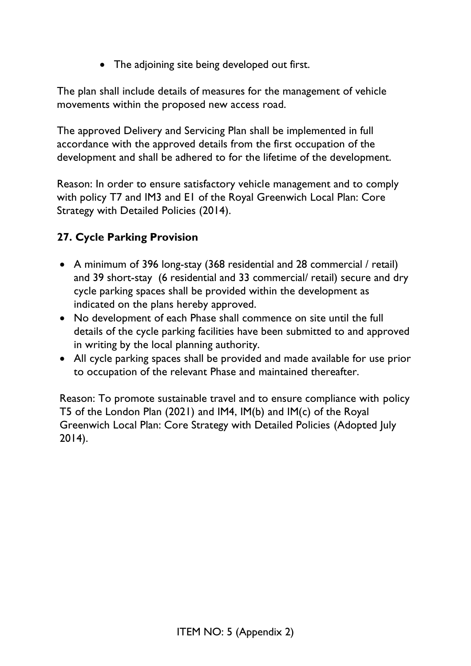• The adjoining site being developed out first.

The plan shall include details of measures for the management of vehicle movements within the proposed new access road.

The approved Delivery and Servicing Plan shall be implemented in full accordance with the approved details from the first occupation of the development and shall be adhered to for the lifetime of the development.

Reason: In order to ensure satisfactory vehicle management and to comply with policy T7 and IM3 and E1 of the Royal Greenwich Local Plan: Core Strategy with Detailed Policies (2014).

# **27. Cycle Parking Provision**

- A minimum of 396 long-stay (368 residential and 28 commercial / retail) and 39 short-stay (6 residential and 33 commercial/ retail) secure and dry cycle parking spaces shall be provided within the development as indicated on the plans hereby approved.
- No development of each Phase shall commence on site until the full details of the cycle parking facilities have been submitted to and approved in writing by the local planning authority.
- All cycle parking spaces shall be provided and made available for use prior to occupation of the relevant Phase and maintained thereafter.

Reason: To promote sustainable travel and to ensure compliance with policy T5 of the London Plan (2021) and IM4, IM(b) and IM(c) of the Royal Greenwich Local Plan: Core Strategy with Detailed Policies (Adopted July 2014).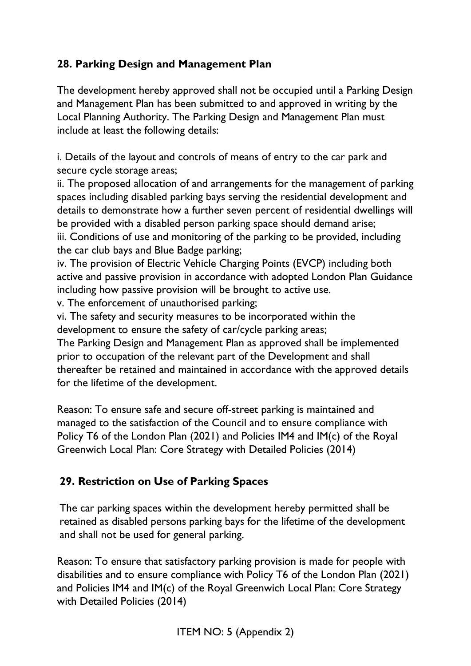## **28. Parking Design and Management Plan**

The development hereby approved shall not be occupied until a Parking Design and Management Plan has been submitted to and approved in writing by the Local Planning Authority. The Parking Design and Management Plan must include at least the following details:

i. Details of the layout and controls of means of entry to the car park and secure cycle storage areas;

ii. The proposed allocation of and arrangements for the management of parking spaces including disabled parking bays serving the residential development and details to demonstrate how a further seven percent of residential dwellings will be provided with a disabled person parking space should demand arise; iii. Conditions of use and monitoring of the parking to be provided, including the car club bays and Blue Badge parking;

iv. The provision of Electric Vehicle Charging Points (EVCP) including both active and passive provision in accordance with adopted London Plan Guidance including how passive provision will be brought to active use.

v. The enforcement of unauthorised parking;

vi. The safety and security measures to be incorporated within the development to ensure the safety of car/cycle parking areas;

The Parking Design and Management Plan as approved shall be implemented prior to occupation of the relevant part of the Development and shall thereafter be retained and maintained in accordance with the approved details for the lifetime of the development.

Reason: To ensure safe and secure off-street parking is maintained and managed to the satisfaction of the Council and to ensure compliance with Policy T6 of the London Plan (2021) and Policies IM4 and IM(c) of the Royal Greenwich Local Plan: Core Strategy with Detailed Policies (2014)

# **29. Restriction on Use of Parking Spaces**

The car parking spaces within the development hereby permitted shall be retained as disabled persons parking bays for the lifetime of the development and shall not be used for general parking.

Reason: To ensure that satisfactory parking provision is made for people with disabilities and to ensure compliance with Policy T6 of the London Plan (2021) and Policies IM4 and IM(c) of the Royal Greenwich Local Plan: Core Strategy with Detailed Policies (2014)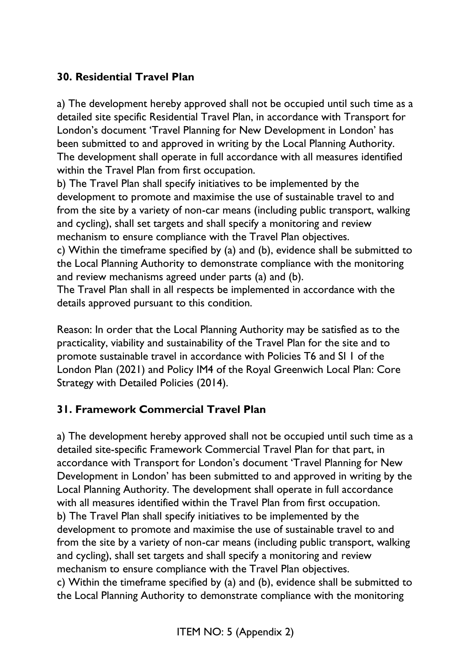# **30. Residential Travel Plan**

a) The development hereby approved shall not be occupied until such time as a detailed site specific Residential Travel Plan, in accordance with Transport for London's document 'Travel Planning for New Development in London' has been submitted to and approved in writing by the Local Planning Authority. The development shall operate in full accordance with all measures identified within the Travel Plan from first occupation.

b) The Travel Plan shall specify initiatives to be implemented by the development to promote and maximise the use of sustainable travel to and from the site by a variety of non-car means (including public transport, walking and cycling), shall set targets and shall specify a monitoring and review mechanism to ensure compliance with the Travel Plan objectives.

c) Within the timeframe specified by (a) and (b), evidence shall be submitted to the Local Planning Authority to demonstrate compliance with the monitoring and review mechanisms agreed under parts (a) and (b).

The Travel Plan shall in all respects be implemented in accordance with the details approved pursuant to this condition.

Reason: In order that the Local Planning Authority may be satisfied as to the practicality, viability and sustainability of the Travel Plan for the site and to promote sustainable travel in accordance with Policies T6 and SI 1 of the London Plan (2021) and Policy IM4 of the Royal Greenwich Local Plan: Core Strategy with Detailed Policies (2014).

### **31. Framework Commercial Travel Plan**

a) The development hereby approved shall not be occupied until such time as a detailed site-specific Framework Commercial Travel Plan for that part, in accordance with Transport for London's document 'Travel Planning for New Development in London' has been submitted to and approved in writing by the Local Planning Authority. The development shall operate in full accordance with all measures identified within the Travel Plan from first occupation. b) The Travel Plan shall specify initiatives to be implemented by the development to promote and maximise the use of sustainable travel to and from the site by a variety of non-car means (including public transport, walking and cycling), shall set targets and shall specify a monitoring and review mechanism to ensure compliance with the Travel Plan objectives. c) Within the timeframe specified by (a) and (b), evidence shall be submitted to the Local Planning Authority to demonstrate compliance with the monitoring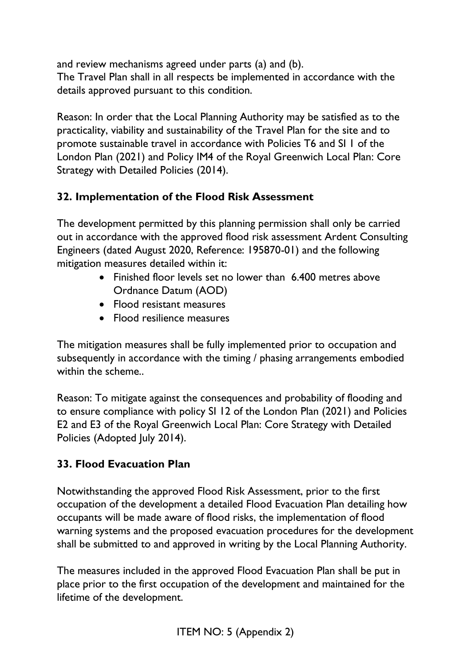and review mechanisms agreed under parts (a) and (b). The Travel Plan shall in all respects be implemented in accordance with the details approved pursuant to this condition.

Reason: In order that the Local Planning Authority may be satisfied as to the practicality, viability and sustainability of the Travel Plan for the site and to promote sustainable travel in accordance with Policies T6 and SI 1 of the London Plan (2021) and Policy IM4 of the Royal Greenwich Local Plan: Core Strategy with Detailed Policies (2014).

# **32. Implementation of the Flood Risk Assessment**

The development permitted by this planning permission shall only be carried out in accordance with the approved flood risk assessment Ardent Consulting Engineers (dated August 2020, Reference: 195870-01) and the following mitigation measures detailed within it:

- Finished floor levels set no lower than 6.400 metres above Ordnance Datum (AOD)
- Flood resistant measures
- Flood resilience measures

The mitigation measures shall be fully implemented prior to occupation and subsequently in accordance with the timing / phasing arrangements embodied within the scheme...

Reason: To mitigate against the consequences and probability of flooding and to ensure compliance with policy SI 12 of the London Plan (2021) and Policies E2 and E3 of the Royal Greenwich Local Plan: Core Strategy with Detailed Policies (Adopted July 2014).

# **33. Flood Evacuation Plan**

Notwithstanding the approved Flood Risk Assessment, prior to the first occupation of the development a detailed Flood Evacuation Plan detailing how occupants will be made aware of flood risks, the implementation of flood warning systems and the proposed evacuation procedures for the development shall be submitted to and approved in writing by the Local Planning Authority.

The measures included in the approved Flood Evacuation Plan shall be put in place prior to the first occupation of the development and maintained for the lifetime of the development.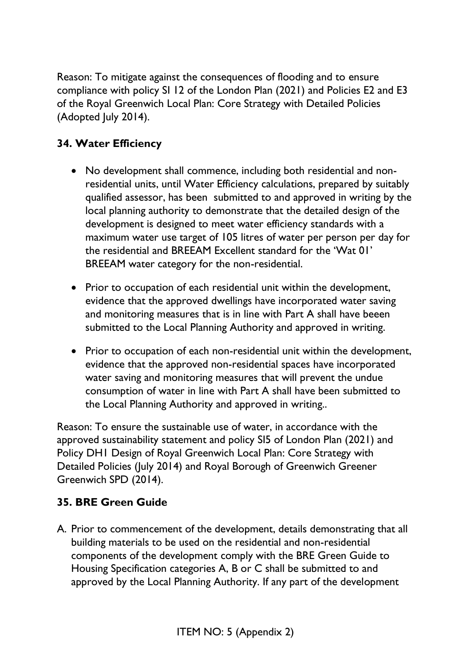Reason: To mitigate against the consequences of flooding and to ensure compliance with policy SI 12 of the London Plan (2021) and Policies E2 and E3 of the Royal Greenwich Local Plan: Core Strategy with Detailed Policies (Adopted July 2014).

## **34. Water Efficiency**

- No development shall commence, including both residential and nonresidential units, until Water Efficiency calculations, prepared by suitably qualified assessor, has been submitted to and approved in writing by the local planning authority to demonstrate that the detailed design of the development is designed to meet water efficiency standards with a maximum water use target of 105 litres of water per person per day for the residential and BREEAM Excellent standard for the 'Wat 01' BREEAM water category for the non-residential.
- Prior to occupation of each residential unit within the development, evidence that the approved dwellings have incorporated water saving and monitoring measures that is in line with Part A shall have beeen submitted to the Local Planning Authority and approved in writing.
- Prior to occupation of each non-residential unit within the development, evidence that the approved non-residential spaces have incorporated water saving and monitoring measures that will prevent the undue consumption of water in line with Part A shall have been submitted to the Local Planning Authority and approved in writing..

Reason: To ensure the sustainable use of water, in accordance with the approved sustainability statement and policy SI5 of London Plan (2021) and Policy DH1 Design of Royal Greenwich Local Plan: Core Strategy with Detailed Policies (July 2014) and Royal Borough of Greenwich Greener Greenwich SPD (2014).

### **35. BRE Green Guide**

A. Prior to commencement of the development, details demonstrating that all building materials to be used on the residential and non-residential components of the development comply with the BRE Green Guide to Housing Specification categories A, B or C shall be submitted to and approved by the Local Planning Authority. If any part of the development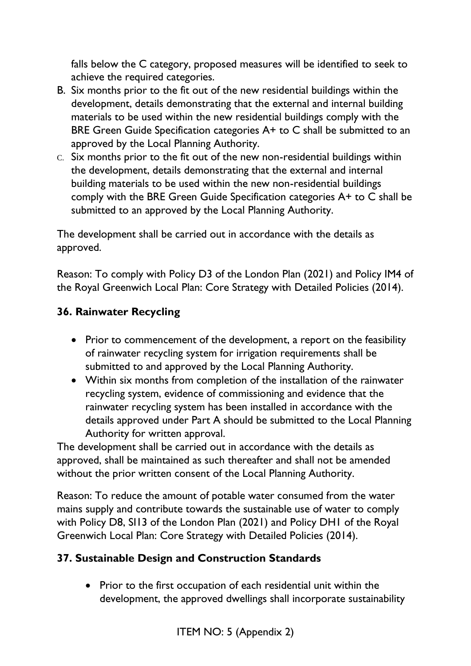falls below the C category, proposed measures will be identified to seek to achieve the required categories.

- B. Six months prior to the fit out of the new residential buildings within the development, details demonstrating that the external and internal building materials to be used within the new residential buildings comply with the BRE Green Guide Specification categories A+ to C shall be submitted to an approved by the Local Planning Authority.
- C. Six months prior to the fit out of the new non-residential buildings within the development, details demonstrating that the external and internal building materials to be used within the new non-residential buildings comply with the BRE Green Guide Specification categories A+ to C shall be submitted to an approved by the Local Planning Authority.

The development shall be carried out in accordance with the details as approved.

Reason: To comply with Policy D3 of the London Plan (2021) and Policy IM4 of the Royal Greenwich Local Plan: Core Strategy with Detailed Policies (2014).

### **36. Rainwater Recycling**

- Prior to commencement of the development, a report on the feasibility of rainwater recycling system for irrigation requirements shall be submitted to and approved by the Local Planning Authority.
- Within six months from completion of the installation of the rainwater recycling system, evidence of commissioning and evidence that the rainwater recycling system has been installed in accordance with the details approved under Part A should be submitted to the Local Planning Authority for written approval.

The development shall be carried out in accordance with the details as approved, shall be maintained as such thereafter and shall not be amended without the prior written consent of the Local Planning Authority.

Reason: To reduce the amount of potable water consumed from the water mains supply and contribute towards the sustainable use of water to comply with Policy D8, SI13 of the London Plan (2021) and Policy DH1 of the Royal Greenwich Local Plan: Core Strategy with Detailed Policies (2014).

### **37. Sustainable Design and Construction Standards**

• Prior to the first occupation of each residential unit within the development, the approved dwellings shall incorporate sustainability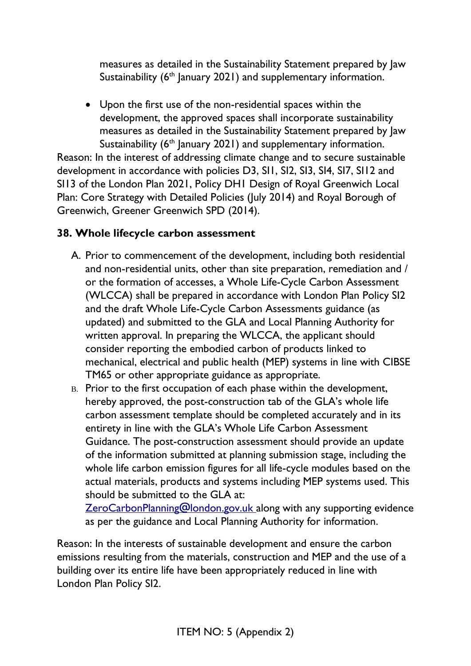measures as detailed in the Sustainability Statement prepared by Jaw Sustainability  $(6<sup>th</sup>$  January 2021) and supplementary information.

• Upon the first use of the non-residential spaces within the development, the approved spaces shall incorporate sustainability measures as detailed in the Sustainability Statement prepared by Jaw Sustainability  $(6<sup>th</sup>$  January 2021) and supplementary information.

Reason: In the interest of addressing climate change and to secure sustainable development in accordance with policies D3, SI1, SI2, SI3, SI4, SI7, SI12 and SI13 of the London Plan 2021, Policy DH1 Design of Royal Greenwich Local Plan: Core Strategy with Detailed Policies (July 2014) and Royal Borough of Greenwich, Greener Greenwich SPD (2014).

# **38. Whole lifecycle carbon assessment**

- A. Prior to commencement of the development, including both residential and non-residential units, other than site preparation, remediation and / or the formation of accesses, a Whole Life-Cycle Carbon Assessment (WLCCA) shall be prepared in accordance with London Plan Policy SI2 and the draft Whole Life-Cycle Carbon Assessments guidance (as updated) and submitted to the GLA and Local Planning Authority for written approval. In preparing the WLCCA, the applicant should consider reporting the embodied carbon of products linked to mechanical, electrical and public health (MEP) systems in line with CIBSE TM65 or other appropriate guidance as appropriate.
- B. Prior to the first occupation of each phase within the development, hereby approved, the post-construction tab of the GLA's whole life carbon assessment template should be completed accurately and in its entirety in line with the GLA's Whole Life Carbon Assessment Guidance. The post-construction assessment should provide an update of the information submitted at planning submission stage, including the whole life carbon emission figures for all life-cycle modules based on the actual materials, products and systems including MEP systems used. This should be submitted to the GLA at:

**[ZeroCarbonPlanning@london.gov.uk](mailto:ZeroCarbonPlanning@london.gov.uk) along with any supporting evidence** as per the guidance and Local Planning Authority for information.

Reason: In the interests of sustainable development and ensure the carbon emissions resulting from the materials, construction and MEP and the use of a building over its entire life have been appropriately reduced in line with London Plan Policy SI2.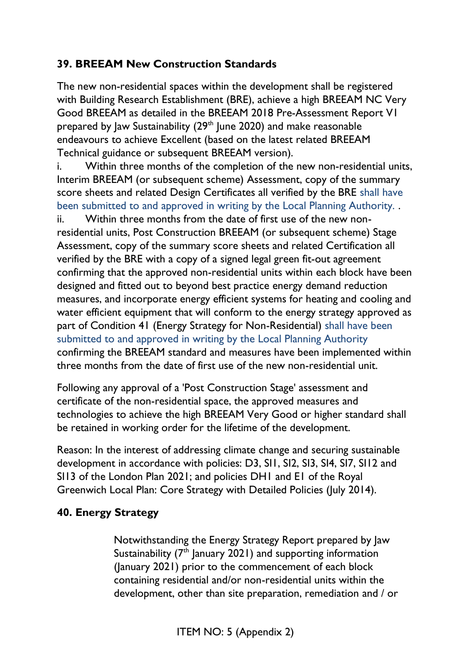## **39. BREEAM New Construction Standards**

The new non-residential spaces within the development shall be registered with Building Research Establishment (BRE), achieve a high BREEAM NC Very Good BREEAM as detailed in the BREEAM 2018 Pre-Assessment Report V1 prepared by Jaw Sustainability (29<sup>th</sup> June 2020) and make reasonable endeavours to achieve Excellent (based on the latest related BREEAM Technical guidance or subsequent BREEAM version).

i. Within three months of the completion of the new non-residential units, Interim BREEAM (or subsequent scheme) Assessment, copy of the summary score sheets and related Design Certificates all verified by the BRE shall have been submitted to and approved in writing by the Local Planning Authority. .

ii. Within three months from the date of first use of the new nonresidential units, Post Construction BREEAM (or subsequent scheme) Stage Assessment, copy of the summary score sheets and related Certification all verified by the BRE with a copy of a signed legal green fit-out agreement confirming that the approved non-residential units within each block have been designed and fitted out to beyond best practice energy demand reduction measures, and incorporate energy efficient systems for heating and cooling and water efficient equipment that will conform to the energy strategy approved as part of Condition 41 (Energy Strategy for Non-Residential) shall have been submitted to and approved in writing by the Local Planning Authority confirming the BREEAM standard and measures have been implemented within three months from the date of first use of the new non-residential unit.

Following any approval of a 'Post Construction Stage' assessment and certificate of the non-residential space, the approved measures and technologies to achieve the high BREEAM Very Good or higher standard shall be retained in working order for the lifetime of the development.

Reason: In the interest of addressing climate change and securing sustainable development in accordance with policies: D3, SI1, SI2, SI3, SI4, SI7, SI12 and SI13 of the London Plan 2021; and policies DH1 and E1 of the Royal Greenwich Local Plan: Core Strategy with Detailed Policies (July 2014).

### **40. Energy Strategy**

Notwithstanding the Energy Strategy Report prepared by Jaw Sustainability  $(7<sup>th</sup>$  January 2021) and supporting information (January 2021) prior to the commencement of each block containing residential and/or non-residential units within the development, other than site preparation, remediation and / or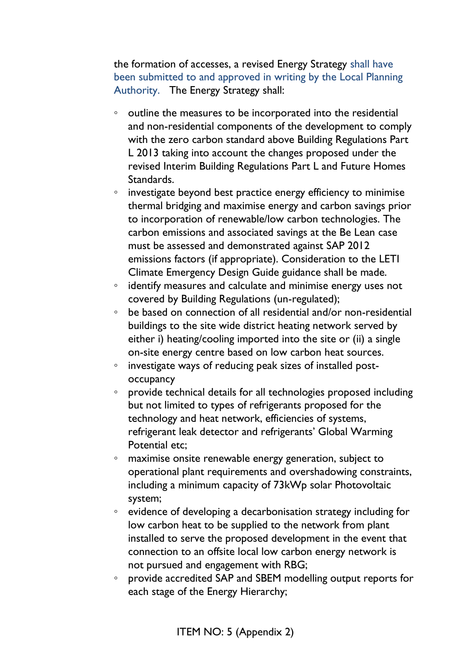the formation of accesses, a revised Energy Strategy shall have been submitted to and approved in writing by the Local Planning Authority. The Energy Strategy shall:

- outline the measures to be incorporated into the residential and non-residential components of the development to comply with the zero carbon standard above Building Regulations Part L 2013 taking into account the changes proposed under the revised Interim Building Regulations Part L and Future Homes Standards.
- investigate beyond best practice energy efficiency to minimise thermal bridging and maximise energy and carbon savings prior to incorporation of renewable/low carbon technologies. The carbon emissions and associated savings at the Be Lean case must be assessed and demonstrated against SAP 2012 emissions factors (if appropriate). Consideration to the LETI Climate Emergency Design Guide guidance shall be made.
- identify measures and calculate and minimise energy uses not covered by Building Regulations (un-regulated);
- be based on connection of all residential and/or non-residential buildings to the site wide district heating network served by either i) heating/cooling imported into the site or (ii) a single on-site energy centre based on low carbon heat sources.
- investigate ways of reducing peak sizes of installed postoccupancy
- provide technical details for all technologies proposed including but not limited to types of refrigerants proposed for the technology and heat network, efficiencies of systems, refrigerant leak detector and refrigerants' Global Warming Potential etc;
- maximise onsite renewable energy generation, subject to operational plant requirements and overshadowing constraints, including a minimum capacity of 73kWp solar Photovoltaic system;
- evidence of developing a decarbonisation strategy including for low carbon heat to be supplied to the network from plant installed to serve the proposed development in the event that connection to an offsite local low carbon energy network is not pursued and engagement with RBG;
- provide accredited SAP and SBEM modelling output reports for each stage of the Energy Hierarchy;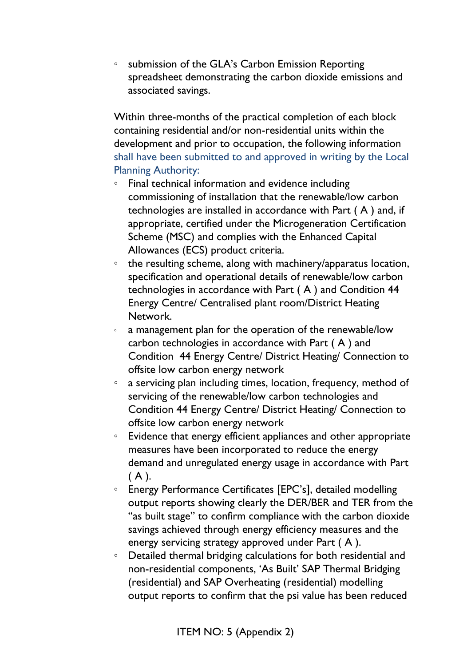◦ submission of the GLA's Carbon Emission Reporting spreadsheet demonstrating the carbon dioxide emissions and associated savings.

Within three-months of the practical completion of each block containing residential and/or non-residential units within the development and prior to occupation, the following information shall have been submitted to and approved in writing by the Local Planning Authority:

- Final technical information and evidence including commissioning of installation that the renewable/low carbon technologies are installed in accordance with Part ( A ) and, if appropriate, certified under the Microgeneration Certification Scheme (MSC) and complies with the Enhanced Capital Allowances (ECS) product criteria.
- the resulting scheme, along with machinery/apparatus location, specification and operational details of renewable/low carbon technologies in accordance with Part ( A ) and Condition 44 Energy Centre/ Centralised plant room/District Heating Network.
- a management plan for the operation of the renewable/low carbon technologies in accordance with Part ( A ) and Condition 44 Energy Centre/ District Heating/ Connection to offsite low carbon energy network
- a servicing plan including times, location, frequency, method of servicing of the renewable/low carbon technologies and Condition 44 Energy Centre/ District Heating/ Connection to offsite low carbon energy network
- Evidence that energy efficient appliances and other appropriate measures have been incorporated to reduce the energy demand and unregulated energy usage in accordance with Part  $(A)$ .
- Energy Performance Certificates [EPC's], detailed modelling output reports showing clearly the DER/BER and TER from the "as built stage" to confirm compliance with the carbon dioxide savings achieved through energy efficiency measures and the energy servicing strategy approved under Part ( A ).
- Detailed thermal bridging calculations for both residential and non-residential components, 'As Built' SAP Thermal Bridging (residential) and SAP Overheating (residential) modelling output reports to confirm that the psi value has been reduced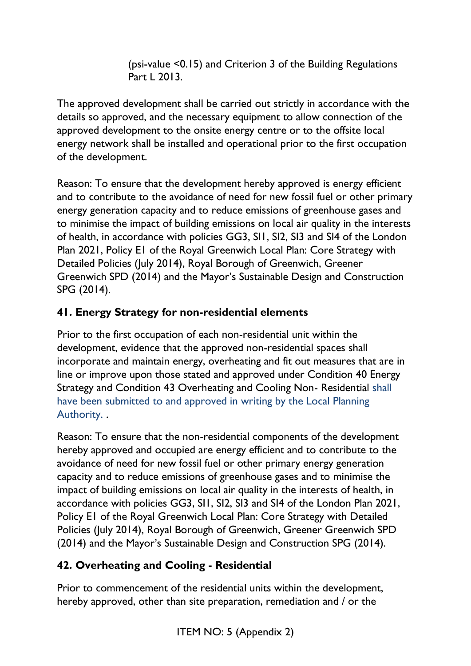(psi-value <0.15) and Criterion 3 of the Building Regulations Part L 2013.

The approved development shall be carried out strictly in accordance with the details so approved, and the necessary equipment to allow connection of the approved development to the onsite energy centre or to the offsite local energy network shall be installed and operational prior to the first occupation of the development.

Reason: To ensure that the development hereby approved is energy efficient and to contribute to the avoidance of need for new fossil fuel or other primary energy generation capacity and to reduce emissions of greenhouse gases and to minimise the impact of building emissions on local air quality in the interests of health, in accordance with policies GG3, SI1, SI2, SI3 and SI4 of the London Plan 2021, Policy E1 of the Royal Greenwich Local Plan: Core Strategy with Detailed Policies (July 2014), Royal Borough of Greenwich, Greener Greenwich SPD (2014) and the Mayor's Sustainable Design and Construction SPG (2014).

# **41. Energy Strategy for non-residential elements**

Prior to the first occupation of each non-residential unit within the development, evidence that the approved non-residential spaces shall incorporate and maintain energy, overheating and fit out measures that are in line or improve upon those stated and approved under Condition 40 Energy Strategy and Condition 43 Overheating and Cooling Non- Residential shall have been submitted to and approved in writing by the Local Planning Authority. .

Reason: To ensure that the non-residential components of the development hereby approved and occupied are energy efficient and to contribute to the avoidance of need for new fossil fuel or other primary energy generation capacity and to reduce emissions of greenhouse gases and to minimise the impact of building emissions on local air quality in the interests of health, in accordance with policies GG3, SI1, SI2, SI3 and SI4 of the London Plan 2021, Policy E1 of the Royal Greenwich Local Plan: Core Strategy with Detailed Policies (July 2014), Royal Borough of Greenwich, Greener Greenwich SPD (2014) and the Mayor's Sustainable Design and Construction SPG (2014).

# **42. Overheating and Cooling - Residential**

Prior to commencement of the residential units within the development, hereby approved, other than site preparation, remediation and / or the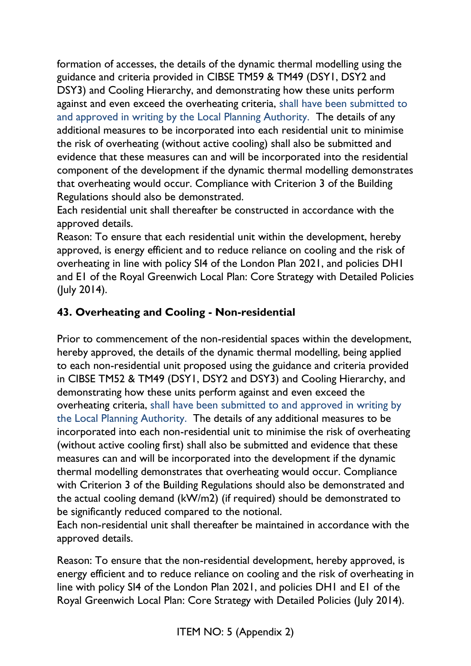formation of accesses, the details of the dynamic thermal modelling using the guidance and criteria provided in CIBSE TM59 & TM49 (DSY1, DSY2 and DSY3) and Cooling Hierarchy, and demonstrating how these units perform against and even exceed the overheating criteria, shall have been submitted to and approved in writing by the Local Planning Authority. The details of any additional measures to be incorporated into each residential unit to minimise the risk of overheating (without active cooling) shall also be submitted and evidence that these measures can and will be incorporated into the residential component of the development if the dynamic thermal modelling demonstrates that overheating would occur. Compliance with Criterion 3 of the Building Regulations should also be demonstrated.

Each residential unit shall thereafter be constructed in accordance with the approved details.

Reason: To ensure that each residential unit within the development, hereby approved, is energy efficient and to reduce reliance on cooling and the risk of overheating in line with policy SI4 of the London Plan 2021, and policies DH1 and E1 of the Royal Greenwich Local Plan: Core Strategy with Detailed Policies (July 2014).

# **43. Overheating and Cooling - Non-residential**

Prior to commencement of the non-residential spaces within the development, hereby approved, the details of the dynamic thermal modelling, being applied to each non-residential unit proposed using the guidance and criteria provided in CIBSE TM52 & TM49 (DSY1, DSY2 and DSY3) and Cooling Hierarchy, and demonstrating how these units perform against and even exceed the overheating criteria, shall have been submitted to and approved in writing by the Local Planning Authority. The details of any additional measures to be incorporated into each non-residential unit to minimise the risk of overheating (without active cooling first) shall also be submitted and evidence that these measures can and will be incorporated into the development if the dynamic thermal modelling demonstrates that overheating would occur. Compliance with Criterion 3 of the Building Regulations should also be demonstrated and the actual cooling demand (kW/m2) (if required) should be demonstrated to be significantly reduced compared to the notional.

Each non-residential unit shall thereafter be maintained in accordance with the approved details.

Reason: To ensure that the non-residential development, hereby approved, is energy efficient and to reduce reliance on cooling and the risk of overheating in line with policy SI4 of the London Plan 2021, and policies DH1 and E1 of the Royal Greenwich Local Plan: Core Strategy with Detailed Policies (July 2014).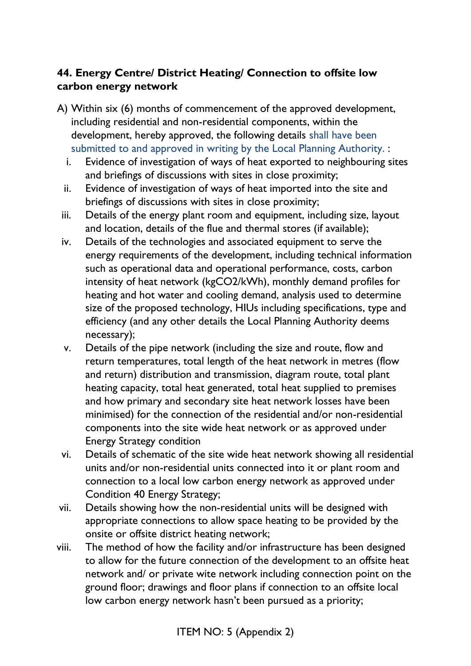# **44. Energy Centre/ District Heating/ Connection to offsite low carbon energy network**

- A) Within six (6) months of commencement of the approved development, including residential and non-residential components, within the development, hereby approved, the following details shall have been submitted to and approved in writing by the Local Planning Authority. :
	- i. Evidence of investigation of ways of heat exported to neighbouring sites and briefings of discussions with sites in close proximity;
	- ii. Evidence of investigation of ways of heat imported into the site and briefings of discussions with sites in close proximity;
	- iii. Details of the energy plant room and equipment, including size, layout and location, details of the flue and thermal stores (if available);
	- iv. Details of the technologies and associated equipment to serve the energy requirements of the development, including technical information such as operational data and operational performance, costs, carbon intensity of heat network (kgCO2/kWh), monthly demand profiles for heating and hot water and cooling demand, analysis used to determine size of the proposed technology, HIUs including specifications, type and efficiency (and any other details the Local Planning Authority deems necessary);
	- v. Details of the pipe network (including the size and route, flow and return temperatures, total length of the heat network in metres (flow and return) distribution and transmission, diagram route, total plant heating capacity, total heat generated, total heat supplied to premises and how primary and secondary site heat network losses have been minimised) for the connection of the residential and/or non-residential components into the site wide heat network or as approved under Energy Strategy condition
	- vi. Details of schematic of the site wide heat network showing all residential units and/or non-residential units connected into it or plant room and connection to a local low carbon energy network as approved under Condition 40 Energy Strategy;
- vii. Details showing how the non-residential units will be designed with appropriate connections to allow space heating to be provided by the onsite or offsite district heating network;
- viii. The method of how the facility and/or infrastructure has been designed to allow for the future connection of the development to an offsite heat network and/ or private wite network including connection point on the ground floor; drawings and floor plans if connection to an offsite local low carbon energy network hasn't been pursued as a priority;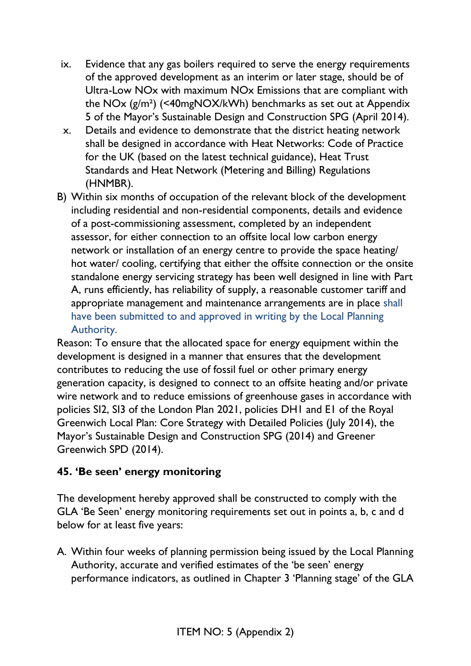- ix. Evidence that any gas boilers required to serve the energy requirements of the approved development as an interim or later stage, should be of Ultra-Low NOx with maximum NOx Emissions that are compliant with the NOx (g/m²) (<40mgNOX/kWh) benchmarks as set out at Appendix 5 of the Mayor's Sustainable Design and Construction SPG (April 2014).
- x. Details and evidence to demonstrate that the district heating network shall be designed in accordance with Heat Networks: Code of Practice for the UK (based on the latest technical guidance), Heat Trust Standards and Heat Network (Metering and Billing) Regulations (HNMBR).
- B) Within six months of occupation of the relevant block of the development including residential and non-residential components, details and evidence of a post-commissioning assessment, completed by an independent assessor, for either connection to an offsite local low carbon energy network or installation of an energy centre to provide the space heating/ hot water/ cooling, certifying that either the offsite connection or the onsite standalone energy servicing strategy has been well designed in line with Part A, runs efficiently, has reliability of supply, a reasonable customer tariff and appropriate management and maintenance arrangements are in place shall have been submitted to and approved in writing by the Local Planning Authority.

Reason: To ensure that the allocated space for energy equipment within the development is designed in a manner that ensures that the development contributes to reducing the use of fossil fuel or other primary energy generation capacity, is designed to connect to an offsite heating and/or private wire network and to reduce emissions of greenhouse gases in accordance with policies SI2, SI3 of the London Plan 2021, policies DH1 and E1 of the Royal Greenwich Local Plan: Core Strategy with Detailed Policies (July 2014), the Mayor's Sustainable Design and Construction SPG (2014) and Greener Greenwich SPD (2014).

### **45. 'Be seen' energy monitoring**

The development hereby approved shall be constructed to comply with the GLA 'Be Seen' energy monitoring requirements set out in points a, b, c and d below for at least five years:

A. Within four weeks of planning permission being issued by the Local Planning Authority, accurate and verified estimates of the 'be seen' energy performance indicators, as outlined in Chapter 3 'Planning stage' of the GLA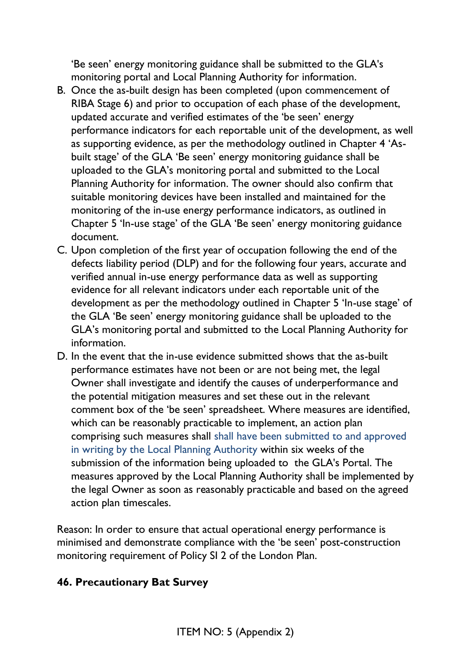'Be seen' energy monitoring guidance shall be submitted to the GLA's monitoring portal and Local Planning Authority for information.

- B. Once the as-built design has been completed (upon commencement of RIBA Stage 6) and prior to occupation of each phase of the development, updated accurate and verified estimates of the 'be seen' energy performance indicators for each reportable unit of the development, as well as supporting evidence, as per the methodology outlined in Chapter 4 'Asbuilt stage' of the GLA 'Be seen' energy monitoring guidance shall be uploaded to the GLA's monitoring portal and submitted to the Local Planning Authority for information. The owner should also confirm that suitable monitoring devices have been installed and maintained for the monitoring of the in-use energy performance indicators, as outlined in Chapter 5 'In-use stage' of the GLA 'Be seen' energy monitoring guidance document.
- C. Upon completion of the first year of occupation following the end of the defects liability period (DLP) and for the following four years, accurate and verified annual in-use energy performance data as well as supporting evidence for all relevant indicators under each reportable unit of the development as per the methodology outlined in Chapter 5 'In-use stage' of the GLA 'Be seen' energy monitoring guidance shall be uploaded to the GLA's monitoring portal and submitted to the Local Planning Authority for information.
- D. In the event that the in-use evidence submitted shows that the as-built performance estimates have not been or are not being met, the legal Owner shall investigate and identify the causes of underperformance and the potential mitigation measures and set these out in the relevant comment box of the 'be seen' spreadsheet. Where measures are identified, which can be reasonably practicable to implement, an action plan comprising such measures shall shall have been submitted to and approved in writing by the Local Planning Authority within six weeks of the submission of the information being uploaded to the GLA's Portal. The measures approved by the Local Planning Authority shall be implemented by the legal Owner as soon as reasonably practicable and based on the agreed action plan timescales.

Reason: In order to ensure that actual operational energy performance is minimised and demonstrate compliance with the 'be seen' post-construction monitoring requirement of Policy SI 2 of the London Plan.

#### **46. Precautionary Bat Survey**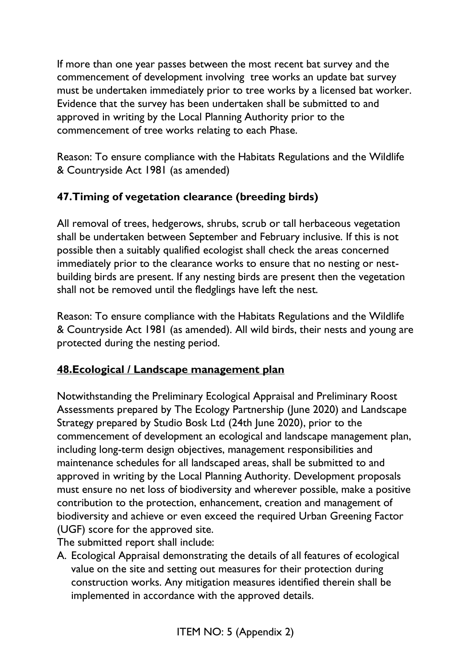If more than one year passes between the most recent bat survey and the commencement of development involving tree works an update bat survey must be undertaken immediately prior to tree works by a licensed bat worker. Evidence that the survey has been undertaken shall be submitted to and approved in writing by the Local Planning Authority prior to the commencement of tree works relating to each Phase.

Reason: To ensure compliance with the Habitats Regulations and the Wildlife & Countryside Act 1981 (as amended)

# **47.Timing of vegetation clearance (breeding birds)**

All removal of trees, hedgerows, shrubs, scrub or tall herbaceous vegetation shall be undertaken between September and February inclusive. If this is not possible then a suitably qualified ecologist shall check the areas concerned immediately prior to the clearance works to ensure that no nesting or nestbuilding birds are present. If any nesting birds are present then the vegetation shall not be removed until the fledglings have left the nest.

Reason: To ensure compliance with the Habitats Regulations and the Wildlife & Countryside Act 1981 (as amended). All wild birds, their nests and young are protected during the nesting period.

### **48.Ecological / Landscape management plan**

Notwithstanding the Preliminary Ecological Appraisal and Preliminary Roost Assessments prepared by The Ecology Partnership (June 2020) and Landscape Strategy prepared by Studio Bosk Ltd (24th June 2020), prior to the commencement of development an ecological and landscape management plan, including long-term design objectives, management responsibilities and maintenance schedules for all landscaped areas, shall be submitted to and approved in writing by the Local Planning Authority. Development proposals must ensure no net loss of biodiversity and wherever possible, make a positive contribution to the protection, enhancement, creation and management of biodiversity and achieve or even exceed the required Urban Greening Factor (UGF) score for the approved site.

The submitted report shall include:

A. Ecological Appraisal demonstrating the details of all features of ecological value on the site and setting out measures for their protection during construction works. Any mitigation measures identified therein shall be implemented in accordance with the approved details.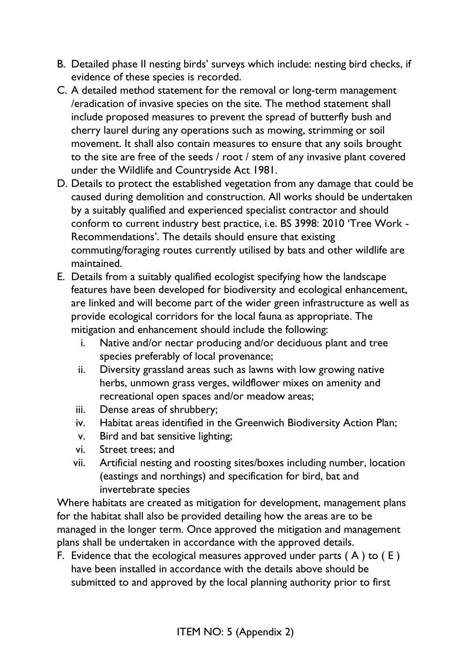- B. Detailed phase II nesting birds' surveys which include: nesting bird checks, if evidence of these species is recorded.
- C. A detailed method statement for the removal or long-term management /eradication of invasive species on the site. The method statement shall include proposed measures to prevent the spread of butterfly bush and cherry laurel during any operations such as mowing, strimming or soil movement. It shall also contain measures to ensure that any soils brought to the site are free of the seeds / root / stem of any invasive plant covered under the Wildlife and Countryside Act 1981.
- D. Details to protect the established vegetation from any damage that could be caused during demolition and construction. All works should be undertaken by a suitably qualified and experienced specialist contractor and should conform to current industry best practice, i.e. BS 3998: 2010 'Tree Work - Recommendations'. The details should ensure that existing commuting/foraging routes currently utilised by bats and other wildlife are maintained.
- E. Details from a suitably qualified ecologist specifying how the landscape features have been developed for biodiversity and ecological enhancement, are linked and will become part of the wider green infrastructure as well as provide ecological corridors for the local fauna as appropriate. The mitigation and enhancement should include the following:
	- i. Native and/or nectar producing and/or deciduous plant and tree species preferably of local provenance;
	- ii. Diversity grassland areas such as lawns with low growing native herbs, unmown grass verges, wildflower mixes on amenity and recreational open spaces and/or meadow areas;
	- iii. Dense areas of shrubbery;
	- iv. Habitat areas identified in the Greenwich Biodiversity Action Plan;
	- v. Bird and bat sensitive lighting;
	- vi. Street trees; and
	- vii. Artificial nesting and roosting sites/boxes including number, location (eastings and northings) and specification for bird, bat and invertebrate species

Where habitats are created as mitigation for development, management plans for the habitat shall also be provided detailing how the areas are to be managed in the longer term. Once approved the mitigation and management plans shall be undertaken in accordance with the approved details.

F. Evidence that the ecological measures approved under parts  $(A)$  to  $(E)$ have been installed in accordance with the details above should be submitted to and approved by the local planning authority prior to first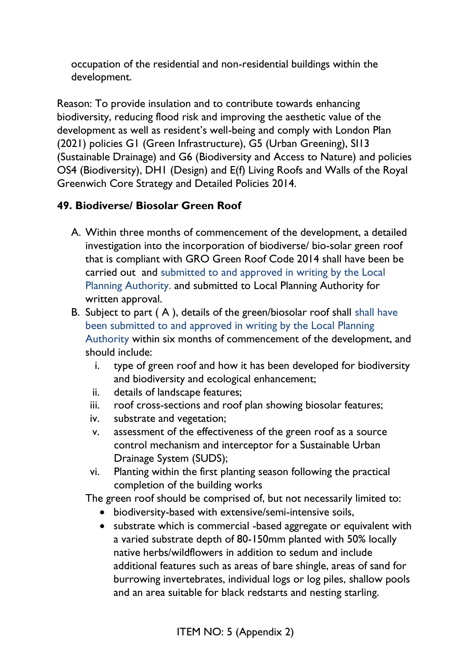occupation of the residential and non-residential buildings within the development.

Reason: To provide insulation and to contribute towards enhancing biodiversity, reducing flood risk and improving the aesthetic value of the development as well as resident's well-being and comply with London Plan (2021) policies G1 (Green Infrastructure), G5 (Urban Greening), SI13 (Sustainable Drainage) and G6 (Biodiversity and Access to Nature) and policies OS4 (Biodiversity), DH1 (Design) and E(f) Living Roofs and Walls of the Royal Greenwich Core Strategy and Detailed Policies 2014.

# **49. Biodiverse/ Biosolar Green Roof**

- A. Within three months of commencement of the development, a detailed investigation into the incorporation of biodiverse/ bio-solar green roof that is compliant with GRO Green Roof Code 2014 shall have been be carried out and submitted to and approved in writing by the Local Planning Authority. and submitted to Local Planning Authority for written approval.
- B. Subject to part ( A ), details of the green/biosolar roof shall shall have been submitted to and approved in writing by the Local Planning Authority within six months of commencement of the development, and should include:
	- i. type of green roof and how it has been developed for biodiversity and biodiversity and ecological enhancement;
	- ii. details of landscape features;
	- iii. roof cross-sections and roof plan showing biosolar features;
	- iv. substrate and vegetation;
	- v. assessment of the effectiveness of the green roof as a source control mechanism and interceptor for a Sustainable Urban Drainage System (SUDS);
	- vi. Planting within the first planting season following the practical completion of the building works

The green roof should be comprised of, but not necessarily limited to:

- biodiversity-based with extensive/semi-intensive soils,
- substrate which is commercial -based aggregate or equivalent with a varied substrate depth of 80-150mm planted with 50% locally native herbs/wildflowers in addition to sedum and include additional features such as areas of bare shingle, areas of sand for burrowing invertebrates, individual logs or log piles, shallow pools and an area suitable for black redstarts and nesting starling.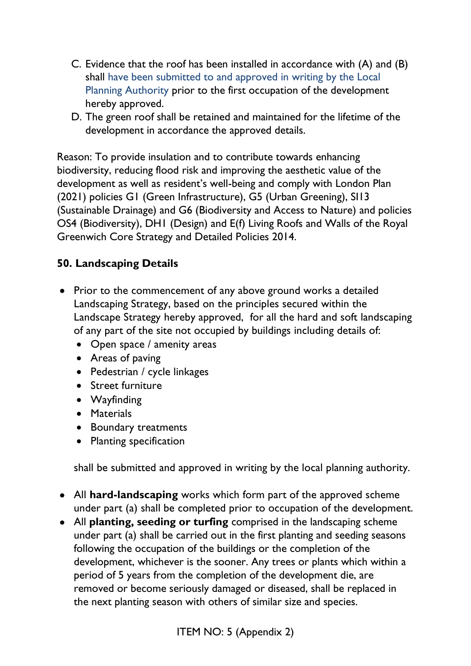- C. Evidence that the roof has been installed in accordance with (A) and (B) shall have been submitted to and approved in writing by the Local Planning Authority prior to the first occupation of the development hereby approved.
- D. The green roof shall be retained and maintained for the lifetime of the development in accordance the approved details.

Reason: To provide insulation and to contribute towards enhancing biodiversity, reducing flood risk and improving the aesthetic value of the development as well as resident's well-being and comply with London Plan (2021) policies G1 (Green Infrastructure), G5 (Urban Greening), SI13 (Sustainable Drainage) and G6 (Biodiversity and Access to Nature) and policies OS4 (Biodiversity), DH1 (Design) and E(f) Living Roofs and Walls of the Royal Greenwich Core Strategy and Detailed Policies 2014.

### **50. Landscaping Details**

- Prior to the commencement of any above ground works a detailed Landscaping Strategy, based on the principles secured within the Landscape Strategy hereby approved, for all the hard and soft landscaping of any part of the site not occupied by buildings including details of:
	- Open space / amenity areas
	- Areas of paving
	- Pedestrian / cycle linkages
	- Street furniture
	- Wayfinding
	- Materials
	- Boundary treatments
	- Planting specification

shall be submitted and approved in writing by the local planning authority.

- All **hard-landscaping** works which form part of the approved scheme under part (a) shall be completed prior to occupation of the development.
- All **planting, seeding or turfing** comprised in the landscaping scheme under part (a) shall be carried out in the first planting and seeding seasons following the occupation of the buildings or the completion of the development, whichever is the sooner. Any trees or plants which within a period of 5 years from the completion of the development die, are removed or become seriously damaged or diseased, shall be replaced in the next planting season with others of similar size and species.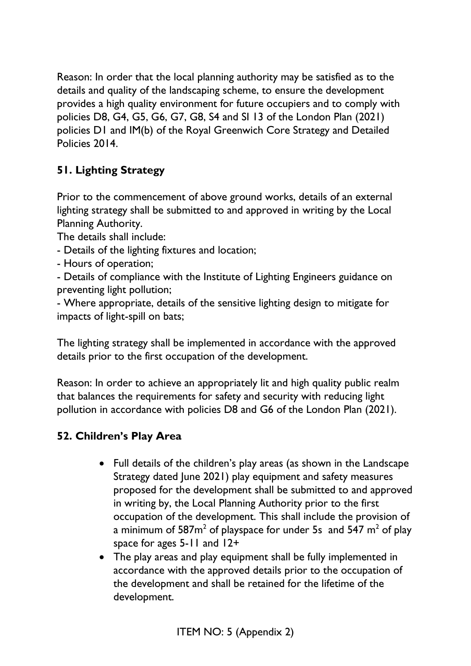Reason: In order that the local planning authority may be satisfied as to the details and quality of the landscaping scheme, to ensure the development provides a high quality environment for future occupiers and to comply with policies D8, G4, G5, G6, G7, G8, S4 and SI 13 of the London Plan (2021) policies D1 and IM(b) of the Royal Greenwich Core Strategy and Detailed Policies 2014.

# **51. Lighting Strategy**

Prior to the commencement of above ground works, details of an external lighting strategy shall be submitted to and approved in writing by the Local Planning Authority.

The details shall include:

- Details of the lighting fixtures and location;
- Hours of operation;
- Details of compliance with the Institute of Lighting Engineers guidance on preventing light pollution;

- Where appropriate, details of the sensitive lighting design to mitigate for impacts of light-spill on bats;

The lighting strategy shall be implemented in accordance with the approved details prior to the first occupation of the development.

Reason: In order to achieve an appropriately lit and high quality public realm that balances the requirements for safety and security with reducing light pollution in accordance with policies D8 and G6 of the London Plan (2021).

### **52. Children's Play Area**

- Full details of the children's play areas (as shown in the Landscape Strategy dated June 2021) play equipment and safety measures proposed for the development shall be submitted to and approved in writing by, the Local Planning Authority prior to the first occupation of the development. This shall include the provision of a minimum of  $587m^2$  of playspace for under 5s and  $547 m^2$  of play space for ages 5-11 and 12+
- The play areas and play equipment shall be fully implemented in accordance with the approved details prior to the occupation of the development and shall be retained for the lifetime of the development.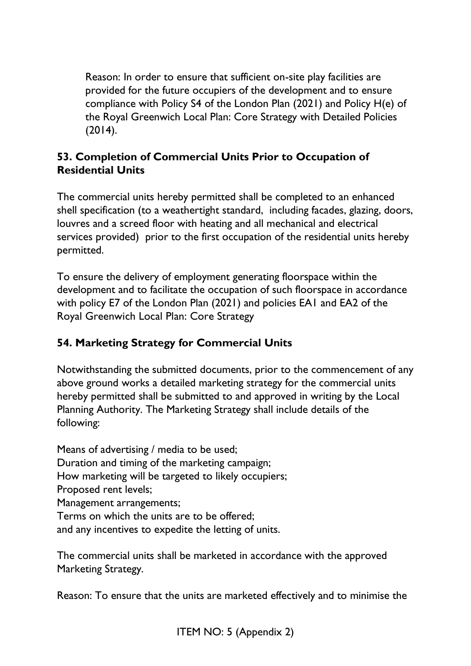Reason: In order to ensure that sufficient on-site play facilities are provided for the future occupiers of the development and to ensure compliance with Policy S4 of the London Plan (2021) and Policy H(e) of the Royal Greenwich Local Plan: Core Strategy with Detailed Policies (2014).

#### **53. Completion of Commercial Units Prior to Occupation of Residential Units**

The commercial units hereby permitted shall be completed to an enhanced shell specification (to a weathertight standard, including facades, glazing, doors, louvres and a screed floor with heating and all mechanical and electrical services provided) prior to the first occupation of the residential units hereby permitted.

To ensure the delivery of employment generating floorspace within the development and to facilitate the occupation of such floorspace in accordance with policy E7 of the London Plan (2021) and policies EA1 and EA2 of the Royal Greenwich Local Plan: Core Strategy

# **54. Marketing Strategy for Commercial Units**

Notwithstanding the submitted documents, prior to the commencement of any above ground works a detailed marketing strategy for the commercial units hereby permitted shall be submitted to and approved in writing by the Local Planning Authority. The Marketing Strategy shall include details of the following:

Means of advertising / media to be used; Duration and timing of the marketing campaign; How marketing will be targeted to likely occupiers; Proposed rent levels; Management arrangements; Terms on which the units are to be offered; and any incentives to expedite the letting of units.

The commercial units shall be marketed in accordance with the approved Marketing Strategy.

Reason: To ensure that the units are marketed effectively and to minimise the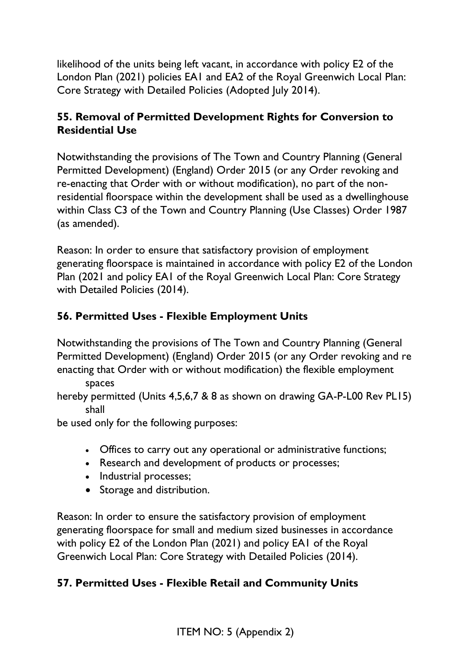likelihood of the units being left vacant, in accordance with policy E2 of the London Plan (2021) policies EA1 and EA2 of the Royal Greenwich Local Plan: Core Strategy with Detailed Policies (Adopted July 2014).

## **55. Removal of Permitted Development Rights for Conversion to Residential Use**

Notwithstanding the provisions of The Town and Country Planning (General Permitted Development) (England) Order 2015 (or any Order revoking and re-enacting that Order with or without modification), no part of the nonresidential floorspace within the development shall be used as a dwellinghouse within Class C3 of the Town and Country Planning (Use Classes) Order 1987 (as amended).

Reason: In order to ensure that satisfactory provision of employment generating floorspace is maintained in accordance with policy E2 of the London Plan (2021 and policy EA1 of the Royal Greenwich Local Plan: Core Strategy with Detailed Policies (2014).

# **56. Permitted Uses - Flexible Employment Units**

Notwithstanding the provisions of The Town and Country Planning (General Permitted Development) (England) Order 2015 (or any Order revoking and re enacting that Order with or without modification) the flexible employment

spaces

hereby permitted (Units 4,5,6,7 & 8 as shown on drawing GA-P-L00 Rev PL15) shall

be used only for the following purposes:

- Offices to carry out any operational or administrative functions;
- Research and development of products or processes;
- Industrial processes;
- Storage and distribution.

Reason: In order to ensure the satisfactory provision of employment generating floorspace for small and medium sized businesses in accordance with policy E2 of the London Plan (2021) and policy EA1 of the Royal Greenwich Local Plan: Core Strategy with Detailed Policies (2014).

### **57. Permitted Uses - Flexible Retail and Community Units**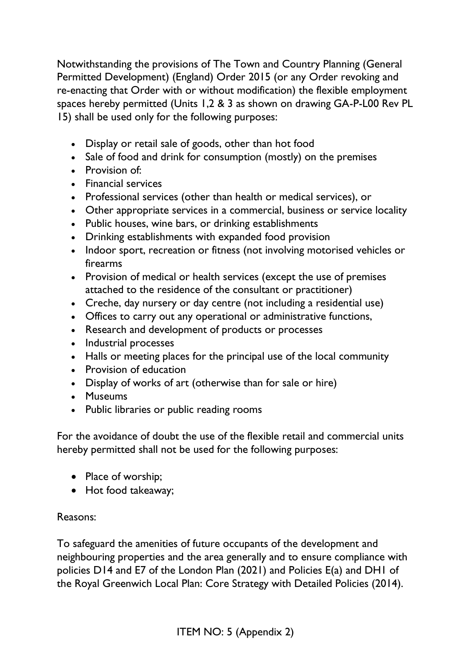Notwithstanding the provisions of The Town and Country Planning (General Permitted Development) (England) Order 2015 (or any Order revoking and re-enacting that Order with or without modification) the flexible employment spaces hereby permitted (Units 1,2 & 3 as shown on drawing GA-P-L00 Rev PL 15) shall be used only for the following purposes:

- Display or retail sale of goods, other than hot food
- Sale of food and drink for consumption (mostly) on the premises
- Provision of:
- Financial services
- Professional services (other than health or medical services), or
- Other appropriate services in a commercial, business or service locality
- Public houses, wine bars, or drinking establishments
- Drinking establishments with expanded food provision
- Indoor sport, recreation or fitness (not involving motorised vehicles or firearms
- Provision of medical or health services (except the use of premises attached to the residence of the consultant or practitioner)
- Creche, day nursery or day centre (not including a residential use)
- Offices to carry out any operational or administrative functions,
- Research and development of products or processes
- Industrial processes
- Halls or meeting places for the principal use of the local community
- Provision of education
- Display of works of art (otherwise than for sale or hire)
- Museums
- Public libraries or public reading rooms

For the avoidance of doubt the use of the flexible retail and commercial units hereby permitted shall not be used for the following purposes:

- Place of worship;
- Hot food takeaway;

#### Reasons:

To safeguard the amenities of future occupants of the development and neighbouring properties and the area generally and to ensure compliance with policies D14 and E7 of the London Plan (2021) and Policies E(a) and DH1 of the Royal Greenwich Local Plan: Core Strategy with Detailed Policies (2014).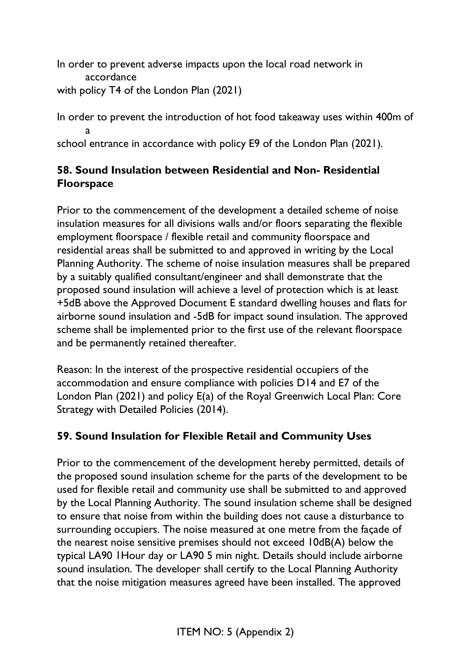In order to prevent adverse impacts upon the local road network in accordance with policy T4 of the London Plan (2021)

In order to prevent the introduction of hot food takeaway uses within 400m of a

school entrance in accordance with policy E9 of the London Plan (2021).

# **58. Sound Insulation between Residential and Non- Residential Floorspace**

Prior to the commencement of the development a detailed scheme of noise insulation measures for all divisions walls and/or floors separating the flexible employment floorspace / flexible retail and community floorspace and residential areas shall be submitted to and approved in writing by the Local Planning Authority. The scheme of noise insulation measures shall be prepared by a suitably qualified consultant/engineer and shall demonstrate that the proposed sound insulation will achieve a level of protection which is at least +5dB above the Approved Document E standard dwelling houses and flats for airborne sound insulation and -5dB for impact sound insulation. The approved scheme shall be implemented prior to the first use of the relevant floorspace and be permanently retained thereafter.

Reason: In the interest of the prospective residential occupiers of the accommodation and ensure compliance with policies D14 and E7 of the London Plan (2021) and policy E(a) of the Royal Greenwich Local Plan: Core Strategy with Detailed Policies (2014).

# **59. Sound Insulation for Flexible Retail and Community Uses**

Prior to the commencement of the development hereby permitted, details of the proposed sound insulation scheme for the parts of the development to be used for flexible retail and community use shall be submitted to and approved by the Local Planning Authority. The sound insulation scheme shall be designed to ensure that noise from within the building does not cause a disturbance to surrounding occupiers. The noise measured at one metre from the façade of the nearest noise sensitive premises should not exceed 10dB(A) below the typical LA90 1Hour day or LA90 5 min night. Details should include airborne sound insulation. The developer shall certify to the Local Planning Authority that the noise mitigation measures agreed have been installed. The approved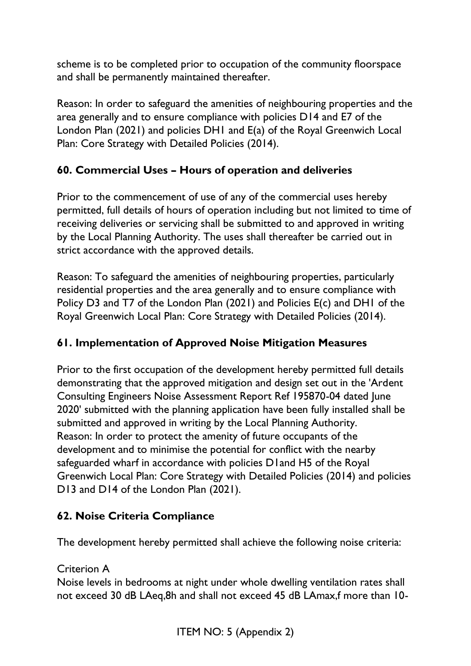scheme is to be completed prior to occupation of the community floorspace and shall be permanently maintained thereafter.

Reason: In order to safeguard the amenities of neighbouring properties and the area generally and to ensure compliance with policies D14 and E7 of the London Plan (2021) and policies DH1 and E(a) of the Royal Greenwich Local Plan: Core Strategy with Detailed Policies (2014).

## **60. Commercial Uses – Hours of operation and deliveries**

Prior to the commencement of use of any of the commercial uses hereby permitted, full details of hours of operation including but not limited to time of receiving deliveries or servicing shall be submitted to and approved in writing by the Local Planning Authority. The uses shall thereafter be carried out in strict accordance with the approved details.

Reason: To safeguard the amenities of neighbouring properties, particularly residential properties and the area generally and to ensure compliance with Policy D3 and T7 of the London Plan (2021) and Policies E(c) and DH1 of the Royal Greenwich Local Plan: Core Strategy with Detailed Policies (2014).

### **61. Implementation of Approved Noise Mitigation Measures**

Prior to the first occupation of the development hereby permitted full details demonstrating that the approved mitigation and design set out in the 'Ardent Consulting Engineers Noise Assessment Report Ref 195870-04 dated June 2020' submitted with the planning application have been fully installed shall be submitted and approved in writing by the Local Planning Authority. Reason: In order to protect the amenity of future occupants of the development and to minimise the potential for conflict with the nearby safeguarded wharf in accordance with policies D1and H5 of the Royal Greenwich Local Plan: Core Strategy with Detailed Policies (2014) and policies D13 and D14 of the London Plan (2021).

### **62. Noise Criteria Compliance**

The development hereby permitted shall achieve the following noise criteria:

#### Criterion A

Noise levels in bedrooms at night under whole dwelling ventilation rates shall not exceed 30 dB LAeq,8h and shall not exceed 45 dB LAmax,f more than 10-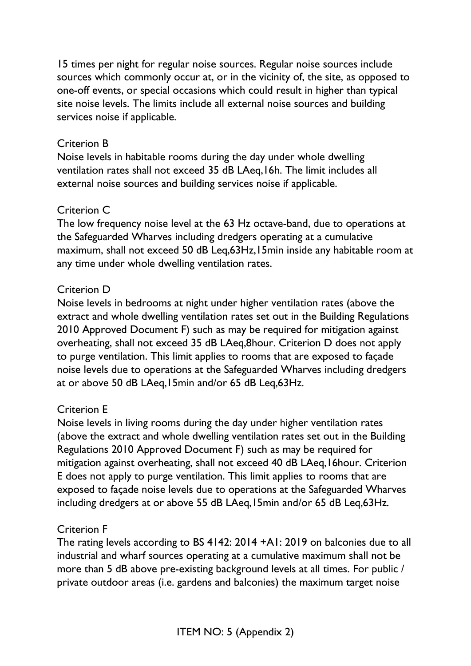15 times per night for regular noise sources. Regular noise sources include sources which commonly occur at, or in the vicinity of, the site, as opposed to one-off events, or special occasions which could result in higher than typical site noise levels. The limits include all external noise sources and building services noise if applicable.

#### Criterion B

Noise levels in habitable rooms during the day under whole dwelling ventilation rates shall not exceed 35 dB LAeq,16h. The limit includes all external noise sources and building services noise if applicable.

#### Criterion C

The low frequency noise level at the 63 Hz octave-band, due to operations at the Safeguarded Wharves including dredgers operating at a cumulative maximum, shall not exceed 50 dB Leq,63Hz,15min inside any habitable room at any time under whole dwelling ventilation rates.

#### Criterion D

Noise levels in bedrooms at night under higher ventilation rates (above the extract and whole dwelling ventilation rates set out in the Building Regulations 2010 Approved Document F) such as may be required for mitigation against overheating, shall not exceed 35 dB LAeq,8hour. Criterion D does not apply to purge ventilation. This limit applies to rooms that are exposed to façade noise levels due to operations at the Safeguarded Wharves including dredgers at or above 50 dB LAeq,15min and/or 65 dB Leq,63Hz.

#### Criterion E

Noise levels in living rooms during the day under higher ventilation rates (above the extract and whole dwelling ventilation rates set out in the Building Regulations 2010 Approved Document F) such as may be required for mitigation against overheating, shall not exceed 40 dB LAeq,16hour. Criterion E does not apply to purge ventilation. This limit applies to rooms that are exposed to façade noise levels due to operations at the Safeguarded Wharves including dredgers at or above 55 dB LAeq,15min and/or 65 dB Leq,63Hz.

#### Criterion F

The rating levels according to BS 4142: 2014 +A1: 2019 on balconies due to all industrial and wharf sources operating at a cumulative maximum shall not be more than 5 dB above pre-existing background levels at all times. For public / private outdoor areas (i.e. gardens and balconies) the maximum target noise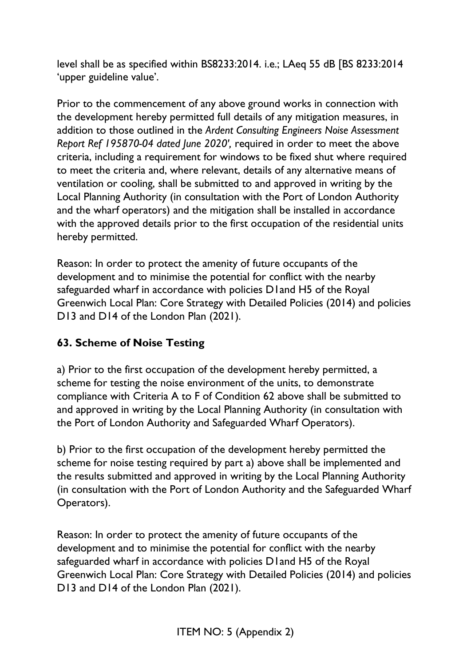level shall be as specified within BS8233:2014. i.e.; LAeq 55 dB [BS 8233:2014 'upper guideline value'.

Prior to the commencement of any above ground works in connection with the development hereby permitted full details of any mitigation measures, in addition to those outlined in the *Ardent Consulting Engineers Noise Assessment Report Ref 195870-04 dated June 2020',* required in order to meet the above criteria, including a requirement for windows to be fixed shut where required to meet the criteria and, where relevant, details of any alternative means of ventilation or cooling, shall be submitted to and approved in writing by the Local Planning Authority (in consultation with the Port of London Authority and the wharf operators) and the mitigation shall be installed in accordance with the approved details prior to the first occupation of the residential units hereby permitted.

Reason: In order to protect the amenity of future occupants of the development and to minimise the potential for conflict with the nearby safeguarded wharf in accordance with policies D1and H5 of the Royal Greenwich Local Plan: Core Strategy with Detailed Policies (2014) and policies D13 and D14 of the London Plan (2021).

### **63. Scheme of Noise Testing**

a) Prior to the first occupation of the development hereby permitted, a scheme for testing the noise environment of the units, to demonstrate compliance with Criteria A to F of Condition 62 above shall be submitted to and approved in writing by the Local Planning Authority (in consultation with the Port of London Authority and Safeguarded Wharf Operators).

b) Prior to the first occupation of the development hereby permitted the scheme for noise testing required by part a) above shall be implemented and the results submitted and approved in writing by the Local Planning Authority (in consultation with the Port of London Authority and the Safeguarded Wharf Operators).

Reason: In order to protect the amenity of future occupants of the development and to minimise the potential for conflict with the nearby safeguarded wharf in accordance with policies D1and H5 of the Royal Greenwich Local Plan: Core Strategy with Detailed Policies (2014) and policies D13 and D14 of the London Plan (2021).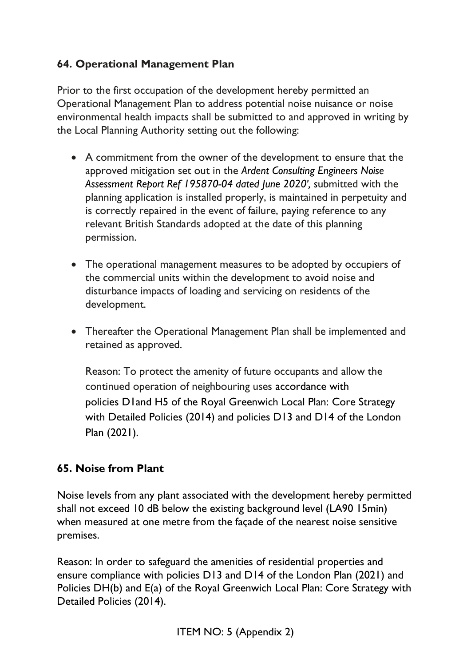# **64. Operational Management Plan**

Prior to the first occupation of the development hereby permitted an Operational Management Plan to address potential noise nuisance or noise environmental health impacts shall be submitted to and approved in writing by the Local Planning Authority setting out the following:

- A commitment from the owner of the development to ensure that the approved mitigation set out in the *Ardent Consulting Engineers Noise Assessment Report Ref 195870-04 dated June 2020', s*ubmitted with the planning application is installed properly, is maintained in perpetuity and is correctly repaired in the event of failure, paying reference to any relevant British Standards adopted at the date of this planning permission.
- The operational management measures to be adopted by occupiers of the commercial units within the development to avoid noise and disturbance impacts of loading and servicing on residents of the development.
- Thereafter the Operational Management Plan shall be implemented and retained as approved.

Reason: To protect the amenity of future occupants and allow the continued operation of neighbouring uses accordance with policies D1and H5 of the Royal Greenwich Local Plan: Core Strategy with Detailed Policies (2014) and policies D13 and D14 of the London Plan (2021).

### **65. Noise from Plant**

Noise levels from any plant associated with the development hereby permitted shall not exceed 10 dB below the existing background level (LA90 15min) when measured at one metre from the façade of the nearest noise sensitive premises.

Reason: In order to safeguard the amenities of residential properties and ensure compliance with policies D13 and D14 of the London Plan (2021) and Policies DH(b) and E(a) of the Royal Greenwich Local Plan: Core Strategy with Detailed Policies (2014).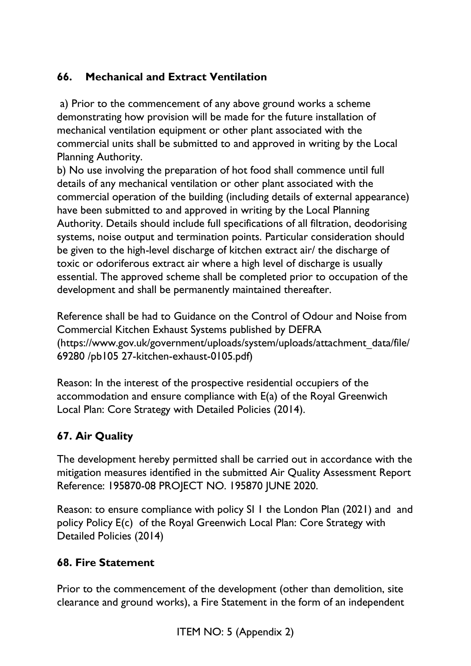# **66. Mechanical and Extract Ventilation**

a) Prior to the commencement of any above ground works a scheme demonstrating how provision will be made for the future installation of mechanical ventilation equipment or other plant associated with the commercial units shall be submitted to and approved in writing by the Local Planning Authority.

b) No use involving the preparation of hot food shall commence until full details of any mechanical ventilation or other plant associated with the commercial operation of the building (including details of external appearance) have been submitted to and approved in writing by the Local Planning Authority. Details should include full specifications of all filtration, deodorising systems, noise output and termination points. Particular consideration should be given to the high-level discharge of kitchen extract air/ the discharge of toxic or odoriferous extract air where a high level of discharge is usually essential. The approved scheme shall be completed prior to occupation of the development and shall be permanently maintained thereafter.

Reference shall be had to Guidance on the Control of Odour and Noise from Commercial Kitchen Exhaust Systems published by DEFRA (https://www.gov.uk/government/uploads/system/uploads/attachment\_data/file/ 69280 /pb105 27-kitchen-exhaust-0105.pdf)

Reason: In the interest of the prospective residential occupiers of the accommodation and ensure compliance with E(a) of the Royal Greenwich Local Plan: Core Strategy with Detailed Policies (2014).

# **67. Air Quality**

The development hereby permitted shall be carried out in accordance with the mitigation measures identified in the submitted Air Quality Assessment Report Reference: 195870-08 PROJECT NO. 195870 JUNE 2020.

Reason: to ensure compliance with policy SI 1 the London Plan (2021) and and policy Policy E(c) of the Royal Greenwich Local Plan: Core Strategy with Detailed Policies (2014)

### **68. Fire Statement**

Prior to the commencement of the development (other than demolition, site clearance and ground works), a Fire Statement in the form of an independent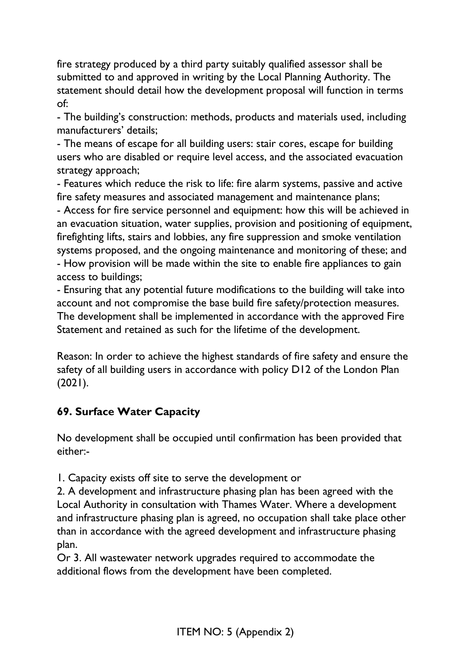fire strategy produced by a third party suitably qualified assessor shall be submitted to and approved in writing by the Local Planning Authority. The statement should detail how the development proposal will function in terms of:

- The building's construction: methods, products and materials used, including manufacturers' details;

- The means of escape for all building users: stair cores, escape for building users who are disabled or require level access, and the associated evacuation strategy approach;

- Features which reduce the risk to life: fire alarm systems, passive and active fire safety measures and associated management and maintenance plans;

- Access for fire service personnel and equipment: how this will be achieved in an evacuation situation, water supplies, provision and positioning of equipment, firefighting lifts, stairs and lobbies, any fire suppression and smoke ventilation systems proposed, and the ongoing maintenance and monitoring of these; and - How provision will be made within the site to enable fire appliances to gain access to buildings;

- Ensuring that any potential future modifications to the building will take into account and not compromise the base build fire safety/protection measures. The development shall be implemented in accordance with the approved Fire Statement and retained as such for the lifetime of the development.

Reason: In order to achieve the highest standards of fire safety and ensure the safety of all building users in accordance with policy D12 of the London Plan (2021).

### **69. Surface Water Capacity**

No development shall be occupied until confirmation has been provided that either:-

1. Capacity exists off site to serve the development or

2. A development and infrastructure phasing plan has been agreed with the Local Authority in consultation with Thames Water. Where a development and infrastructure phasing plan is agreed, no occupation shall take place other than in accordance with the agreed development and infrastructure phasing plan.

Or 3. All wastewater network upgrades required to accommodate the additional flows from the development have been completed.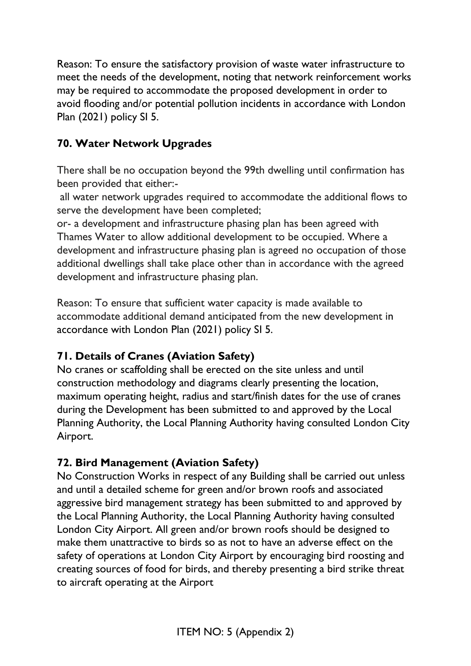Reason: To ensure the satisfactory provision of waste water infrastructure to meet the needs of the development, noting that network reinforcement works may be required to accommodate the proposed development in order to avoid flooding and/or potential pollution incidents in accordance with London Plan (2021) policy SI 5.

## **70. Water Network Upgrades**

There shall be no occupation beyond the 99th dwelling until confirmation has been provided that either:-

all water network upgrades required to accommodate the additional flows to serve the development have been completed;

or- a development and infrastructure phasing plan has been agreed with Thames Water to allow additional development to be occupied. Where a development and infrastructure phasing plan is agreed no occupation of those additional dwellings shall take place other than in accordance with the agreed development and infrastructure phasing plan.

Reason: To ensure that sufficient water capacity is made available to accommodate additional demand anticipated from the new development in accordance with London Plan (2021) policy SI 5.

### **71. Details of Cranes (Aviation Safety)**

No cranes or scaffolding shall be erected on the site unless and until construction methodology and diagrams clearly presenting the location, maximum operating height, radius and start/finish dates for the use of cranes during the Development has been submitted to and approved by the Local Planning Authority, the Local Planning Authority having consulted London City Airport.

### **72. Bird Management (Aviation Safety)**

No Construction Works in respect of any Building shall be carried out unless and until a detailed scheme for green and/or brown roofs and associated aggressive bird management strategy has been submitted to and approved by the Local Planning Authority, the Local Planning Authority having consulted London City Airport. All green and/or brown roofs should be designed to make them unattractive to birds so as not to have an adverse effect on the safety of operations at London City Airport by encouraging bird roosting and creating sources of food for birds, and thereby presenting a bird strike threat to aircraft operating at the Airport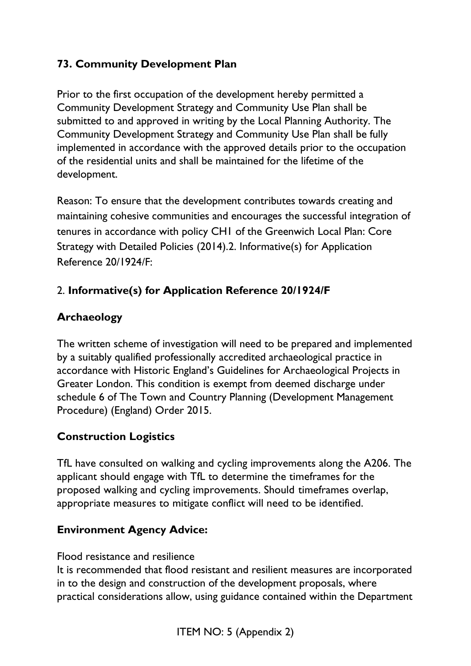## **73. Community Development Plan**

Prior to the first occupation of the development hereby permitted a Community Development Strategy and Community Use Plan shall be submitted to and approved in writing by the Local Planning Authority. The Community Development Strategy and Community Use Plan shall be fully implemented in accordance with the approved details prior to the occupation of the residential units and shall be maintained for the lifetime of the development.

Reason: To ensure that the development contributes towards creating and maintaining cohesive communities and encourages the successful integration of tenures in accordance with policy CH1 of the Greenwich Local Plan: Core Strategy with Detailed Policies (2014).2. Informative(s) for Application Reference 20/1924/F:

# 2. **Informative(s) for Application Reference 20/1924/F**

### **Archaeology**

The written scheme of investigation will need to be prepared and implemented by a suitably qualified professionally accredited archaeological practice in accordance with Historic England's Guidelines for Archaeological Projects in Greater London. This condition is exempt from deemed discharge under schedule 6 of The Town and Country Planning (Development Management Procedure) (England) Order 2015.

### **Construction Logistics**

TfL have consulted on walking and cycling improvements along the A206. The applicant should engage with TfL to determine the timeframes for the proposed walking and cycling improvements. Should timeframes overlap, appropriate measures to mitigate conflict will need to be identified.

#### **Environment Agency Advice:**

Flood resistance and resilience

It is recommended that flood resistant and resilient measures are incorporated in to the design and construction of the development proposals, where practical considerations allow, using guidance contained within the Department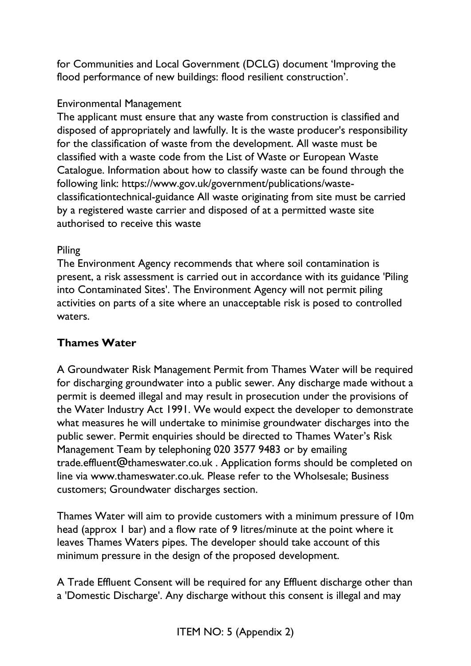for Communities and Local Government (DCLG) document 'Improving the flood performance of new buildings: flood resilient construction'.

#### Environmental Management

The applicant must ensure that any waste from construction is classified and disposed of appropriately and lawfully. It is the waste producer's responsibility for the classification of waste from the development. All waste must be classified with a waste code from the List of Waste or European Waste Catalogue. Information about how to classify waste can be found through the following link: https://www.gov.uk/government/publications/wasteclassificationtechnical-guidance All waste originating from site must be carried by a registered waste carrier and disposed of at a permitted waste site authorised to receive this waste

#### Piling

The Environment Agency recommends that where soil contamination is present, a risk assessment is carried out in accordance with its guidance 'Piling into Contaminated Sites'. The Environment Agency will not permit piling activities on parts of a site where an unacceptable risk is posed to controlled waters.

### **Thames Water**

A Groundwater Risk Management Permit from Thames Water will be required for discharging groundwater into a public sewer. Any discharge made without a permit is deemed illegal and may result in prosecution under the provisions of the Water Industry Act 1991. We would expect the developer to demonstrate what measures he will undertake to minimise groundwater discharges into the public sewer. Permit enquiries should be directed to Thames Water's Risk Management Team by telephoning 020 3577 9483 or by emailing trade.effluent@thameswater.co.uk . Application forms should be completed on line via www.thameswater.co.uk. Please refer to the Wholsesale; Business customers; Groundwater discharges section.

Thames Water will aim to provide customers with a minimum pressure of 10m head (approx 1 bar) and a flow rate of 9 litres/minute at the point where it leaves Thames Waters pipes. The developer should take account of this minimum pressure in the design of the proposed development.

A Trade Effluent Consent will be required for any Effluent discharge other than a 'Domestic Discharge'. Any discharge without this consent is illegal and may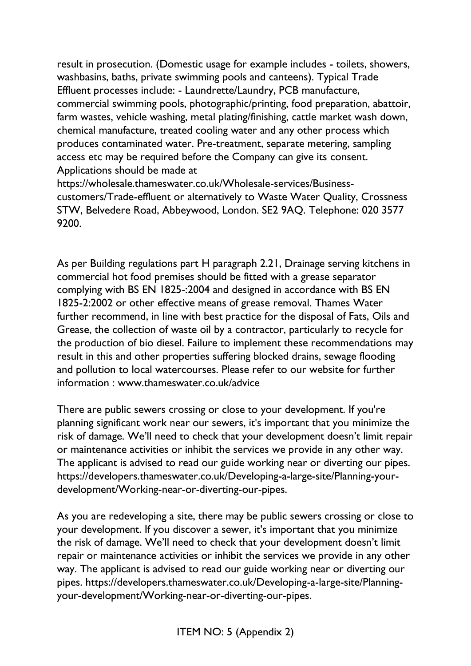result in prosecution. (Domestic usage for example includes - toilets, showers, washbasins, baths, private swimming pools and canteens). Typical Trade Effluent processes include: - Laundrette/Laundry, PCB manufacture, commercial swimming pools, photographic/printing, food preparation, abattoir, farm wastes, vehicle washing, metal plating/finishing, cattle market wash down, chemical manufacture, treated cooling water and any other process which produces contaminated water. Pre-treatment, separate metering, sampling access etc may be required before the Company can give its consent. Applications should be made at

https://wholesale.thameswater.co.uk/Wholesale-services/Businesscustomers/Trade-effluent or alternatively to Waste Water Quality, Crossness STW, Belvedere Road, Abbeywood, London. SE2 9AQ. Telephone: 020 3577 9200.

As per Building regulations part H paragraph 2.21, Drainage serving kitchens in commercial hot food premises should be fitted with a grease separator complying with BS EN 1825-:2004 and designed in accordance with BS EN 1825-2:2002 or other effective means of grease removal. Thames Water further recommend, in line with best practice for the disposal of Fats, Oils and Grease, the collection of waste oil by a contractor, particularly to recycle for the production of bio diesel. Failure to implement these recommendations may result in this and other properties suffering blocked drains, sewage flooding and pollution to local watercourses. Please refer to our website for further information : www.thameswater.co.uk/advice

There are public sewers crossing or close to your development. If you're planning significant work near our sewers, it's important that you minimize the risk of damage. We'll need to check that your development doesn't limit repair or maintenance activities or inhibit the services we provide in any other way. The applicant is advised to read our guide working near or diverting our pipes. https://developers.thameswater.co.uk/Developing-a-large-site/Planning-yourdevelopment/Working-near-or-diverting-our-pipes.

As you are redeveloping a site, there may be public sewers crossing or close to your development. If you discover a sewer, it's important that you minimize the risk of damage. We'll need to check that your development doesn't limit repair or maintenance activities or inhibit the services we provide in any other way. The applicant is advised to read our guide working near or diverting our pipes. https://developers.thameswater.co.uk/Developing-a-large-site/Planningyour-development/Working-near-or-diverting-our-pipes.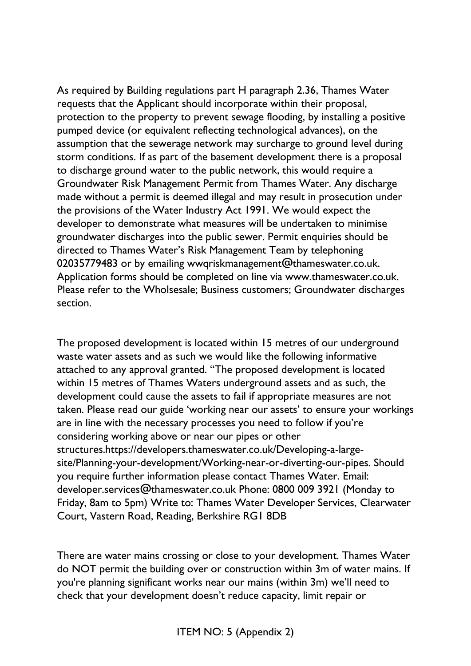As required by Building regulations part H paragraph 2.36, Thames Water requests that the Applicant should incorporate within their proposal, protection to the property to prevent sewage flooding, by installing a positive pumped device (or equivalent reflecting technological advances), on the assumption that the sewerage network may surcharge to ground level during storm conditions. If as part of the basement development there is a proposal to discharge ground water to the public network, this would require a Groundwater Risk Management Permit from Thames Water. Any discharge made without a permit is deemed illegal and may result in prosecution under the provisions of the Water Industry Act 1991. We would expect the developer to demonstrate what measures will be undertaken to minimise groundwater discharges into the public sewer. Permit enquiries should be directed to Thames Water's Risk Management Team by telephoning 02035779483 or by emailing wwqriskmanagement@thameswater.co.uk. Application forms should be completed on line via www.thameswater.co.uk. Please refer to the Wholsesale; Business customers; Groundwater discharges section.

The proposed development is located within 15 metres of our underground waste water assets and as such we would like the following informative attached to any approval granted. "The proposed development is located within 15 metres of Thames Waters underground assets and as such, the development could cause the assets to fail if appropriate measures are not taken. Please read our guide 'working near our assets' to ensure your workings are in line with the necessary processes you need to follow if you're considering working above or near our pipes or other structures.https://developers.thameswater.co.uk/Developing-a-largesite/Planning-your-development/Working-near-or-diverting-our-pipes. Should you require further information please contact Thames Water. Email: developer.services@thameswater.co.uk Phone: 0800 009 3921 (Monday to Friday, 8am to 5pm) Write to: Thames Water Developer Services, Clearwater Court, Vastern Road, Reading, Berkshire RG1 8DB

There are water mains crossing or close to your development. Thames Water do NOT permit the building over or construction within 3m of water mains. If you're planning significant works near our mains (within 3m) we'll need to check that your development doesn't reduce capacity, limit repair or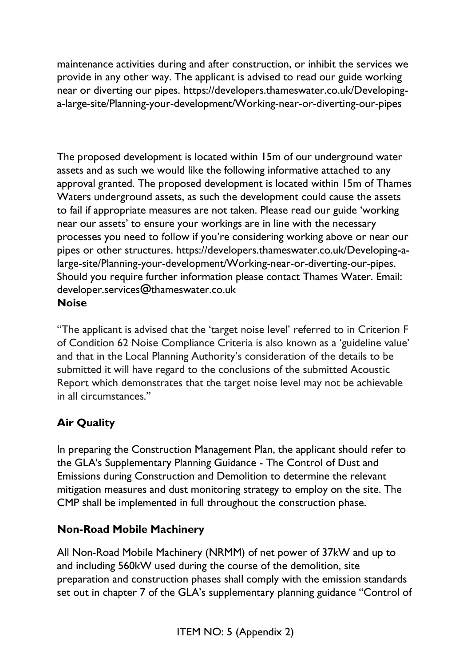maintenance activities during and after construction, or inhibit the services we provide in any other way. The applicant is advised to read our guide working near or diverting our pipes. https://developers.thameswater.co.uk/Developinga-large-site/Planning-your-development/Working-near-or-diverting-our-pipes

The proposed development is located within 15m of our underground water assets and as such we would like the following informative attached to any approval granted. The proposed development is located within 15m of Thames Waters underground assets, as such the development could cause the assets to fail if appropriate measures are not taken. Please read our guide 'working near our assets' to ensure your workings are in line with the necessary processes you need to follow if you're considering working above or near our pipes or other structures. https://developers.thameswater.co.uk/Developing-alarge-site/Planning-your-development/Working-near-or-diverting-our-pipes. Should you require further information please contact Thames Water. Email: developer.services@thameswater.co.uk **Noise** 

"The applicant is advised that the 'target noise level' referred to in Criterion F of Condition 62 Noise Compliance Criteria is also known as a 'guideline value' and that in the Local Planning Authority's consideration of the details to be submitted it will have regard to the conclusions of the submitted Acoustic Report which demonstrates that the target noise level may not be achievable in all circumstances."

# **Air Quality**

In preparing the Construction Management Plan, the applicant should refer to the GLA's Supplementary Planning Guidance - The Control of Dust and Emissions during Construction and Demolition to determine the relevant mitigation measures and dust monitoring strategy to employ on the site. The CMP shall be implemented in full throughout the construction phase.

### **Non-Road Mobile Machinery**

All Non-Road Mobile Machinery (NRMM) of net power of 37kW and up to and including 560kW used during the course of the demolition, site preparation and construction phases shall comply with the emission standards set out in chapter 7 of the GLA's supplementary planning guidance "Control of